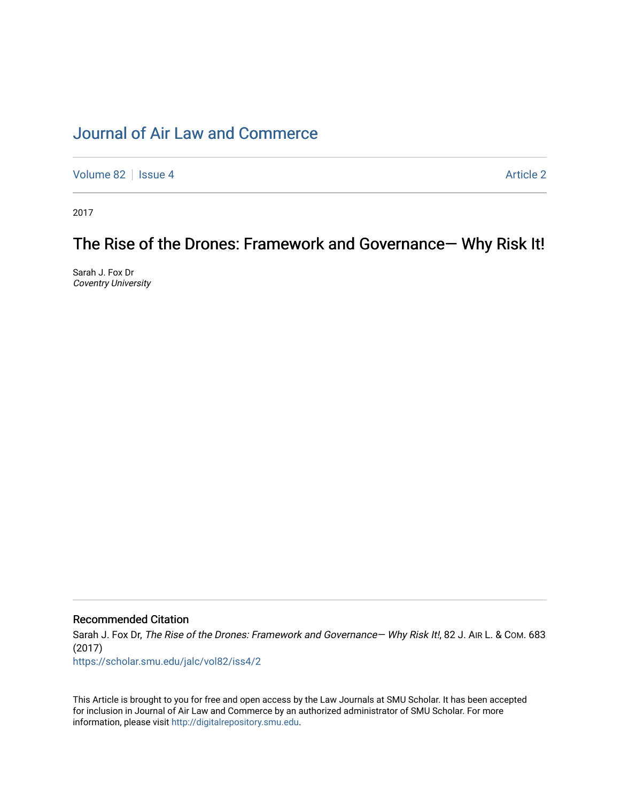# [Journal of Air Law and Commerce](https://scholar.smu.edu/jalc)

[Volume 82](https://scholar.smu.edu/jalc/vol82) | [Issue 4](https://scholar.smu.edu/jalc/vol82/iss4) Article 2

2017

# The Rise of the Drones: Framework and Governance— Why Risk It!

Sarah J. Fox Dr Coventry University

# Recommended Citation

Sarah J. Fox Dr, The Rise of the Drones: Framework and Governance- Why Risk It!, 82 J. AIR L. & Com. 683 (2017)

[https://scholar.smu.edu/jalc/vol82/iss4/2](https://scholar.smu.edu/jalc/vol82/iss4/2?utm_source=scholar.smu.edu%2Fjalc%2Fvol82%2Fiss4%2F2&utm_medium=PDF&utm_campaign=PDFCoverPages) 

This Article is brought to you for free and open access by the Law Journals at SMU Scholar. It has been accepted for inclusion in Journal of Air Law and Commerce by an authorized administrator of SMU Scholar. For more information, please visit [http://digitalrepository.smu.edu](http://digitalrepository.smu.edu/).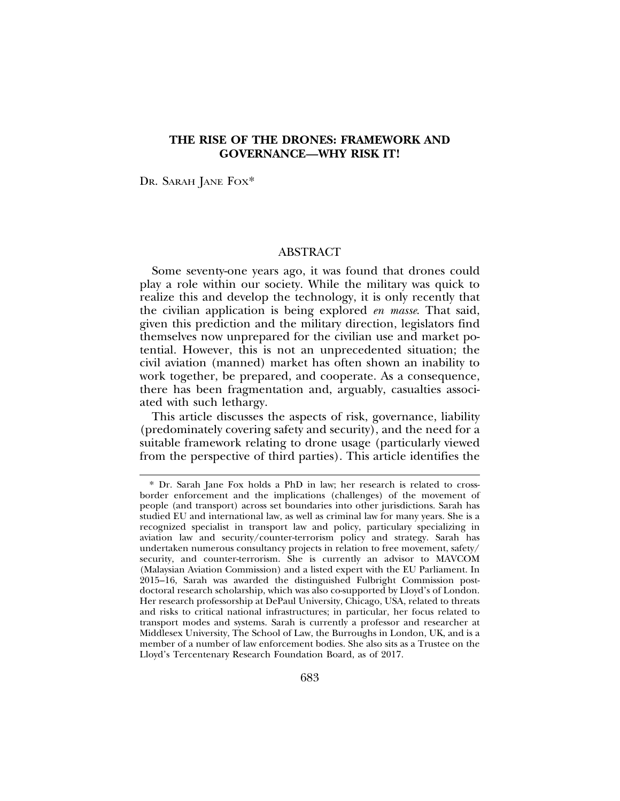# **THE RISE OF THE DRONES: FRAMEWORK AND GOVERNANCE—WHY RISK IT!**

DR. SARAH JANE FOX<sup>\*</sup>

## ABSTRACT

Some seventy-one years ago, it was found that drones could play a role within our society. While the military was quick to realize this and develop the technology, it is only recently that the civilian application is being explored *en masse*. That said, given this prediction and the military direction, legislators find themselves now unprepared for the civilian use and market potential. However, this is not an unprecedented situation; the civil aviation (manned) market has often shown an inability to work together, be prepared, and cooperate. As a consequence, there has been fragmentation and, arguably, casualties associated with such lethargy.

This article discusses the aspects of risk, governance, liability (predominately covering safety and security), and the need for a suitable framework relating to drone usage (particularly viewed from the perspective of third parties). This article identifies the

<sup>\*</sup> Dr. Sarah Jane Fox holds a PhD in law; her research is related to crossborder enforcement and the implications (challenges) of the movement of people (and transport) across set boundaries into other jurisdictions. Sarah has studied EU and international law, as well as criminal law for many years. She is a recognized specialist in transport law and policy, particulary specializing in aviation law and security/counter-terrorism policy and strategy. Sarah has undertaken numerous consultancy projects in relation to free movement, safety/ security, and counter-terrorism. She is currently an advisor to MAVCOM (Malaysian Aviation Commission) and a listed expert with the EU Parliament. In 2015–16, Sarah was awarded the distinguished Fulbright Commission postdoctoral research scholarship, which was also co-supported by Lloyd's of London. Her research professorship at DePaul University, Chicago, USA, related to threats and risks to critical national infrastructures; in particular, her focus related to transport modes and systems. Sarah is currently a professor and researcher at Middlesex University, The School of Law, the Burroughs in London, UK, and is a member of a number of law enforcement bodies. She also sits as a Trustee on the Lloyd's Tercentenary Research Foundation Board, as of 2017.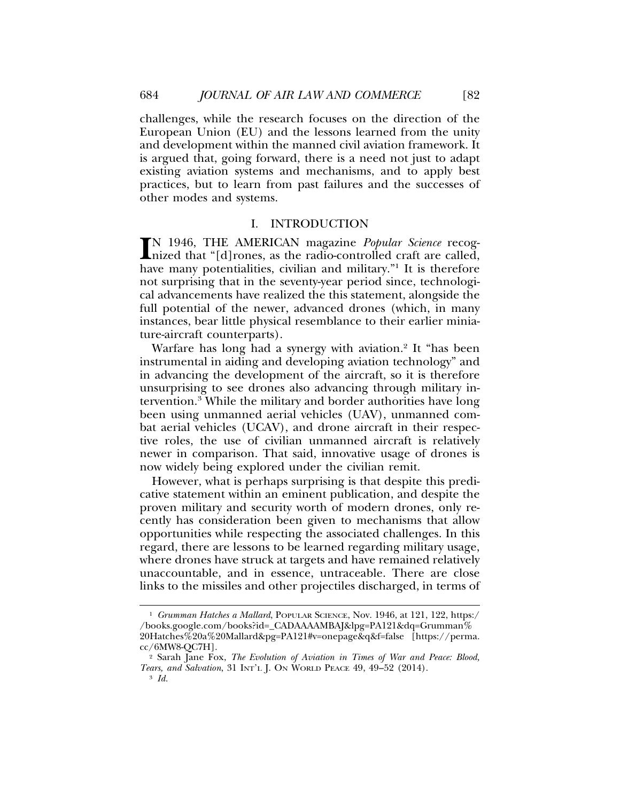challenges, while the research focuses on the direction of the European Union (EU) and the lessons learned from the unity and development within the manned civil aviation framework. It is argued that, going forward, there is a need not just to adapt existing aviation systems and mechanisms, and to apply best practices, but to learn from past failures and the successes of other modes and systems.

#### I. INTRODUCTION

IN 1946, THE AMERICAN magazine *Popular Science* recog-<br>
nized that "[d]rones, as the radio-controlled craft are called,<br>
have many potentialities, civilian and military<sup>"1</sup>. It is therefore nized that "[d]rones, as the radio-controlled craft are called, have many potentialities, civilian and military."<sup>1</sup> It is therefore not surprising that in the seventy-year period since, technological advancements have realized the this statement, alongside the full potential of the newer, advanced drones (which, in many instances, bear little physical resemblance to their earlier miniature-aircraft counterparts).

Warfare has long had a synergy with aviation.<sup>2</sup> It "has been instrumental in aiding and developing aviation technology" and in advancing the development of the aircraft, so it is therefore unsurprising to see drones also advancing through military intervention.<sup>3</sup> While the military and border authorities have long been using unmanned aerial vehicles (UAV), unmanned combat aerial vehicles (UCAV), and drone aircraft in their respective roles, the use of civilian unmanned aircraft is relatively newer in comparison. That said, innovative usage of drones is now widely being explored under the civilian remit.

However, what is perhaps surprising is that despite this predicative statement within an eminent publication, and despite the proven military and security worth of modern drones, only recently has consideration been given to mechanisms that allow opportunities while respecting the associated challenges. In this regard, there are lessons to be learned regarding military usage, where drones have struck at targets and have remained relatively unaccountable, and in essence, untraceable. There are close links to the missiles and other projectiles discharged, in terms of

<sup>&</sup>lt;sup>1</sup> *Grumman Hatches a Mallard*, POPULAR SCIENCE, Nov. 1946, at 121, 122, https:/ /books.google.com/books?id=\_CADAAAAMBAJ&lpg=PA121&dq=Grumman% 20Hatches%20a%20Mallard&pg=PA121#v=onepage&q&f=false [https://perma. cc/6MW8-QC7H].

<sup>2</sup> Sarah Jane Fox, *The Evolution of Aviation in Times of War and Peace: Blood, Tears, and Salvation*, 31 INT'L J. ON WORLD PEACE 49, 49–52 (2014). <sup>3</sup> *Id.*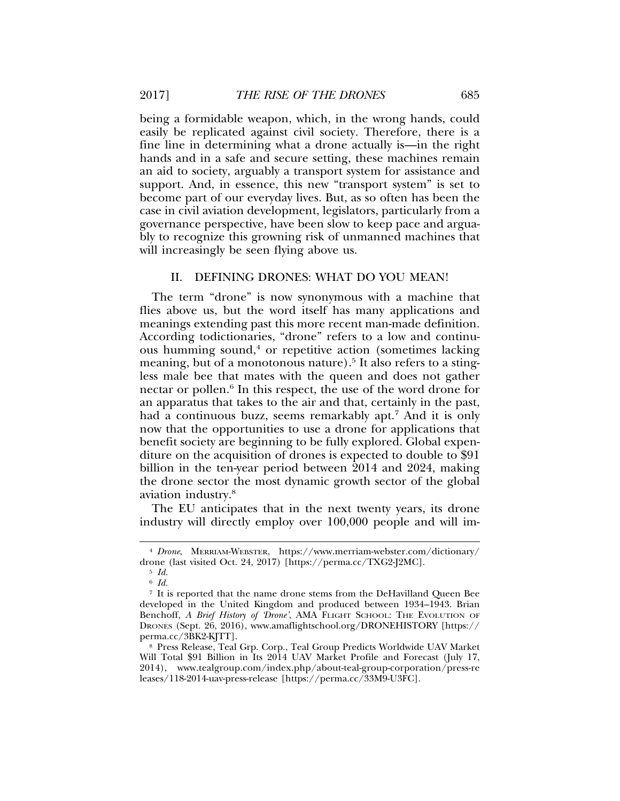being a formidable weapon, which, in the wrong hands, could easily be replicated against civil society. Therefore, there is a fine line in determining what a drone actually is—in the right hands and in a safe and secure setting, these machines remain an aid to society, arguably a transport system for assistance and support. And, in essence, this new "transport system" is set to become part of our everyday lives. But, as so often has been the case in civil aviation development, legislators, particularly from a governance perspective, have been slow to keep pace and arguably to recognize this growning risk of unmanned machines that will increasingly be seen flying above us.

## II. DEFINING DRONES: WHAT DO YOU MEAN!

The term "drone" is now synonymous with a machine that flies above us, but the word itself has many applications and meanings extending past this more recent man-made definition. According todictionaries, "drone" refers to a low and continuous humming sound,<sup>4</sup> or repetitive action (sometimes lacking meaning, but of a monotonous nature).<sup>5</sup> It also refers to a stingless male bee that mates with the queen and does not gather nectar or pollen.<sup>6</sup> In this respect, the use of the word drone for an apparatus that takes to the air and that, certainly in the past, had a continuous buzz, seems remarkably apt.7 And it is only now that the opportunities to use a drone for applications that benefit society are beginning to be fully explored. Global expenditure on the acquisition of drones is expected to double to \$91 billion in the ten-year period between 2014 and 2024, making the drone sector the most dynamic growth sector of the global aviation industry.8

The EU anticipates that in the next twenty years, its drone industry will directly employ over 100,000 people and will im-

<sup>4</sup> *Drone*, MERRIAM-WEBSTER, https://www.merriam-webster.com/dictionary/ drone (last visited Oct. 24, 2017) [https://perma.cc/TXG2-J2MC].

<sup>5</sup> *Id.*

<sup>6</sup> *Id.*

<sup>7</sup> It is reported that the name drone stems from the DeHavilland Queen Bee developed in the United Kingdom and produced between 1934–1943. Brian Benchoff, *A Brief History of 'Drone'*, AMA FLIGHT SCHOOL: THE EVOLUTION OF DRONES (Sept. 26, 2016), www.amaflightschool.org/DRONEHISTORY [https:// perma.cc/3BK2-KJTT].

<sup>8</sup> Press Release, Teal Grp. Corp., Teal Group Predicts Worldwide UAV Market Will Total \$91 Billion in Its 2014 UAV Market Profile and Forecast (July 17, 2014), www.tealgroup.com/index.php/about-teal-group-corporation/press-re leases/118-2014-uav-press-release [https://perma.cc/33M9-U3FC].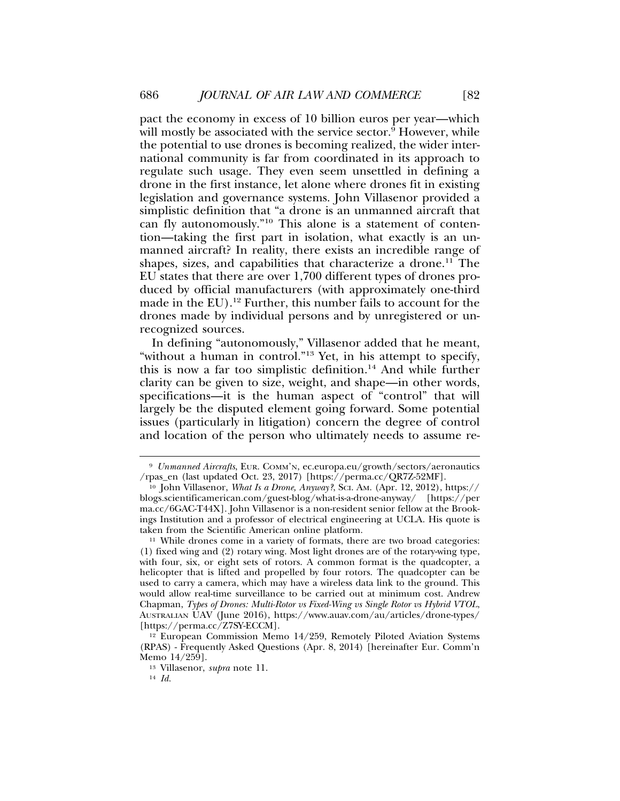pact the economy in excess of 10 billion euros per year—which will mostly be associated with the service sector. $^{\tilde{9}}$  However, while the potential to use drones is becoming realized, the wider international community is far from coordinated in its approach to regulate such usage. They even seem unsettled in defining a drone in the first instance, let alone where drones fit in existing legislation and governance systems. John Villasenor provided a simplistic definition that "a drone is an unmanned aircraft that can fly autonomously."10 This alone is a statement of contention—taking the first part in isolation, what exactly is an unmanned aircraft? In reality, there exists an incredible range of shapes, sizes, and capabilities that characterize a drone.<sup>11</sup> The EU states that there are over 1,700 different types of drones produced by official manufacturers (with approximately one-third made in the EU).<sup>12</sup> Further, this number fails to account for the drones made by individual persons and by unregistered or unrecognized sources.

In defining "autonomously," Villasenor added that he meant, "without a human in control."13 Yet, in his attempt to specify, this is now a far too simplistic definition.14 And while further clarity can be given to size, weight, and shape—in other words, specifications—it is the human aspect of "control" that will largely be the disputed element going forward. Some potential issues (particularly in litigation) concern the degree of control and location of the person who ultimately needs to assume re-

<sup>9</sup> *Unmanned Aircrafts*, EUR. COMM'N, ec.europa.eu/growth/sectors/aeronautics /rpas\_en (last updated Oct. 23, 2017) [https://perma.cc/QR7Z-52MF].

<sup>10</sup> John Villasenor, *What Is a Drone, Anyway?*, SCI. AM. (Apr. 12, 2012), https:// blogs.scientificamerican.com/guest-blog/what-is-a-drone-anyway/ [https://per ma.cc/6GAC-T44X]. John Villasenor is a non-resident senior fellow at the Brookings Institution and a professor of electrical engineering at UCLA. His quote is taken from the Scientific American online platform.

<sup>11</sup> While drones come in a variety of formats, there are two broad categories: (1) fixed wing and (2) rotary wing. Most light drones are of the rotary-wing type, with four, six, or eight sets of rotors. A common format is the quadcopter, a helicopter that is lifted and propelled by four rotors. The quadcopter can be used to carry a camera, which may have a wireless data link to the ground. This would allow real-time surveillance to be carried out at minimum cost. Andrew Chapman, *Types of Drones: Multi-Rotor vs Fixed-Wing vs Single Rotor vs Hybrid VTOL*, AUSTRALIAN UAV (June 2016), https://www.auav.com/au/articles/drone-types/ [https://perma.cc/Z7SY-ECCM].

<sup>&</sup>lt;sup>12</sup> European Commission Memo 14/259, Remotely Piloted Aviation Systems (RPAS) - Frequently Asked Questions (Apr. 8, 2014) [hereinafter Eur. Comm'n Memo 14/259].

<sup>13</sup> Villasenor, *supra* note 11.

<sup>14</sup> *Id.*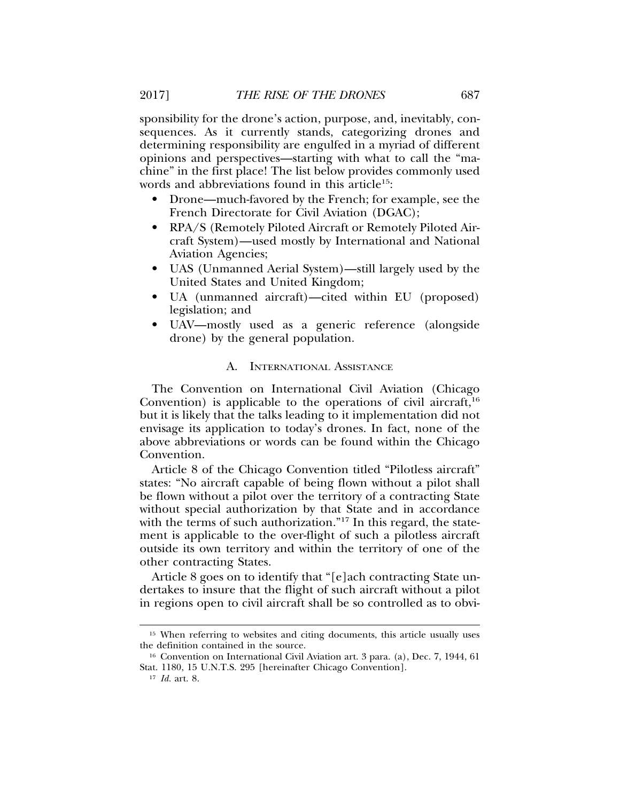sponsibility for the drone's action, purpose, and, inevitably, consequences. As it currently stands, categorizing drones and determining responsibility are engulfed in a myriad of different opinions and perspectives—starting with what to call the "machine" in the first place! The list below provides commonly used words and abbreviations found in this article<sup>15</sup>:

- Drone—much-favored by the French; for example, see the French Directorate for Civil Aviation (DGAC);
- RPA/S (Remotely Piloted Aircraft or Remotely Piloted Aircraft System)—used mostly by International and National Aviation Agencies;
- UAS (Unmanned Aerial System)—still largely used by the United States and United Kingdom;
- UA (unmanned aircraft)—cited within EU (proposed) legislation; and
- UAV—mostly used as a generic reference (alongside drone) by the general population.

### A. INTERNATIONAL ASSISTANCE

The Convention on International Civil Aviation (Chicago Convention) is applicable to the operations of civil aircraft,  $16$ but it is likely that the talks leading to it implementation did not envisage its application to today's drones. In fact, none of the above abbreviations or words can be found within the Chicago Convention.

Article 8 of the Chicago Convention titled "Pilotless aircraft" states: "No aircraft capable of being flown without a pilot shall be flown without a pilot over the territory of a contracting State without special authorization by that State and in accordance with the terms of such authorization."<sup>17</sup> In this regard, the statement is applicable to the over-flight of such a pilotless aircraft outside its own territory and within the territory of one of the other contracting States.

Article 8 goes on to identify that "[e]ach contracting State undertakes to insure that the flight of such aircraft without a pilot in regions open to civil aircraft shall be so controlled as to obvi-

<sup>&</sup>lt;sup>15</sup> When referring to websites and citing documents, this article usually uses the definition contained in the source.

<sup>16</sup> Convention on International Civil Aviation art. 3 para. (a), Dec. 7, 1944, 61 Stat. 1180, 15 U.N.T.S. 295 [hereinafter Chicago Convention].

<sup>17</sup> *Id.* art. 8.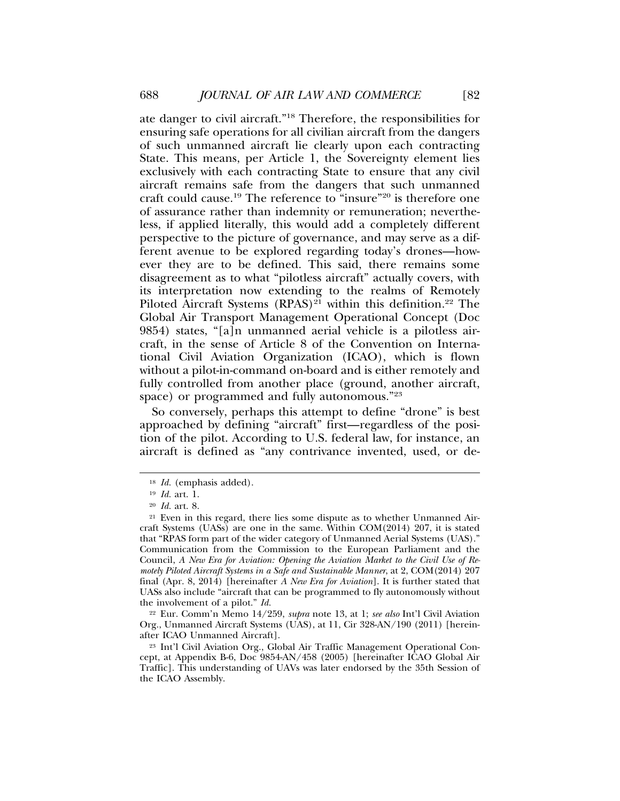ate danger to civil aircraft."18 Therefore, the responsibilities for ensuring safe operations for all civilian aircraft from the dangers of such unmanned aircraft lie clearly upon each contracting State. This means, per Article 1, the Sovereignty element lies exclusively with each contracting State to ensure that any civil aircraft remains safe from the dangers that such unmanned craft could cause.19 The reference to "insure"20 is therefore one of assurance rather than indemnity or remuneration; nevertheless, if applied literally, this would add a completely different perspective to the picture of governance, and may serve as a different avenue to be explored regarding today's drones—however they are to be defined. This said, there remains some disagreement as to what "pilotless aircraft" actually covers, with its interpretation now extending to the realms of Remotely Piloted Aircraft Systems  $(RPAS)^{21}$  within this definition.<sup>22</sup> The Global Air Transport Management Operational Concept (Doc 9854) states, "[a]n unmanned aerial vehicle is a pilotless aircraft, in the sense of Article 8 of the Convention on International Civil Aviation Organization (ICAO), which is flown without a pilot-in-command on-board and is either remotely and fully controlled from another place (ground, another aircraft, space) or programmed and fully autonomous."<sup>23</sup>

So conversely, perhaps this attempt to define "drone" is best approached by defining "aircraft" first—regardless of the position of the pilot. According to U.S. federal law, for instance, an aircraft is defined as "any contrivance invented, used, or de-

<sup>22</sup> Eur. Comm'n Memo 14/259, *supra* note 13, at 1; *see also* Int'l Civil Aviation Org., Unmanned Aircraft Systems (UAS), at 11, Cir 328-AN/190 (2011) [hereinafter ICAO Unmanned Aircraft].

<sup>18</sup> *Id.* (emphasis added).

<sup>19</sup> *Id.* art. 1.

<sup>20</sup> *Id.* art. 8.

<sup>21</sup> Even in this regard, there lies some dispute as to whether Unmanned Aircraft Systems (UASs) are one in the same. Within COM(2014) 207, it is stated that "RPAS form part of the wider category of Unmanned Aerial Systems (UAS)." Communication from the Commission to the European Parliament and the Council, *A New Era for Aviation: Opening the Aviation Market to the Civil Use of Remotely Piloted Aircraft Systems in a Safe and Sustainable Manner*, at 2, COM(2014) 207 final (Apr. 8, 2014) [hereinafter *A New Era for Aviation*]. It is further stated that UASs also include "aircraft that can be programmed to fly autonomously without the involvement of a pilot." *Id.*

<sup>23</sup> Int'l Civil Aviation Org., Global Air Traffic Management Operational Concept, at Appendix B-6, Doc 9854-AN/458 (2005) [hereinafter ICAO Global Air Traffic]. This understanding of UAVs was later endorsed by the 35th Session of the ICAO Assembly.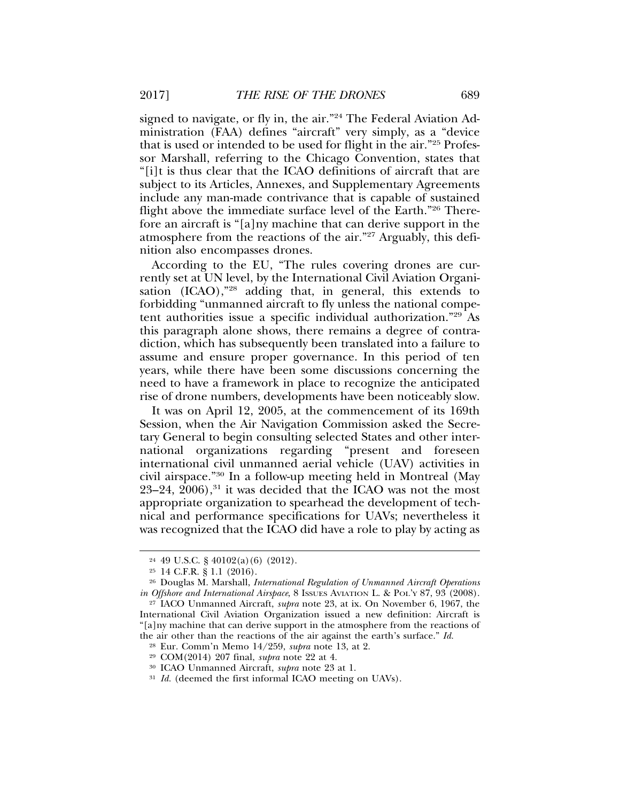signed to navigate, or fly in, the air."<sup>24</sup> The Federal Aviation Administration (FAA) defines "aircraft" very simply, as a "device that is used or intended to be used for flight in the air."25 Professor Marshall, referring to the Chicago Convention, states that "[i]t is thus clear that the ICAO definitions of aircraft that are subject to its Articles, Annexes, and Supplementary Agreements include any man-made contrivance that is capable of sustained flight above the immediate surface level of the Earth."26 Therefore an aircraft is "[a]ny machine that can derive support in the atmosphere from the reactions of the air."27 Arguably, this definition also encompasses drones.

According to the EU, "The rules covering drones are currently set at UN level, by the International Civil Aviation Organisation (ICAO),"28 adding that, in general, this extends to forbidding "unmanned aircraft to fly unless the national competent authorities issue a specific individual authorization."29 As this paragraph alone shows, there remains a degree of contradiction, which has subsequently been translated into a failure to assume and ensure proper governance. In this period of ten years, while there have been some discussions concerning the need to have a framework in place to recognize the anticipated rise of drone numbers, developments have been noticeably slow.

It was on April 12, 2005, at the commencement of its 169th Session, when the Air Navigation Commission asked the Secretary General to begin consulting selected States and other international organizations regarding "present and foreseen international civil unmanned aerial vehicle (UAV) activities in civil airspace."30 In a follow-up meeting held in Montreal (May  $23-24$ ,  $2006$ ),<sup>31</sup> it was decided that the ICAO was not the most appropriate organization to spearhead the development of technical and performance specifications for UAVs; nevertheless it was recognized that the ICAO did have a role to play by acting as

<sup>24</sup> 49 U.S.C. § 40102(a)(6) (2012).

<sup>25</sup> 14 C.F.R. § 1.1 (2016).

<sup>26</sup> Douglas M. Marshall, *International Regulation of Unmanned Aircraft Operations in Offshore and International Airspace*, 8 ISSUES AVIATION L. & POL'Y 87, 93 (2008).

<sup>27</sup> IACO Unmanned Aircraft, *supra* note 23, at ix. On November 6, 1967, the International Civil Aviation Organization issued a new definition: Aircraft is "[a]ny machine that can derive support in the atmosphere from the reactions of the air other than the reactions of the air against the earth's surface." *Id.*

<sup>28</sup> Eur. Comm'n Memo 14/259, *supra* note 13, at 2.

<sup>29</sup> COM(2014) 207 final, *supra* note 22 at 4.

<sup>30</sup> ICAO Unmanned Aircraft, *supra* note 23 at 1.

<sup>&</sup>lt;sup>31</sup> *Id.* (deemed the first informal ICAO meeting on UAVs).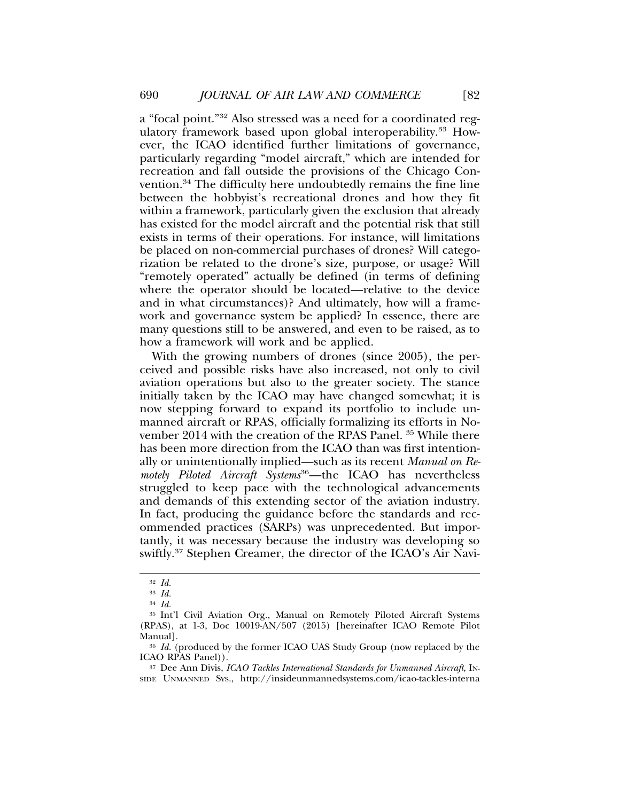a "focal point."32 Also stressed was a need for a coordinated regulatory framework based upon global interoperability.<sup>33</sup> However, the ICAO identified further limitations of governance, particularly regarding "model aircraft," which are intended for recreation and fall outside the provisions of the Chicago Convention.34 The difficulty here undoubtedly remains the fine line between the hobbyist's recreational drones and how they fit within a framework, particularly given the exclusion that already has existed for the model aircraft and the potential risk that still exists in terms of their operations. For instance, will limitations be placed on non-commercial purchases of drones? Will categorization be related to the drone's size, purpose, or usage? Will "remotely operated" actually be defined (in terms of defining where the operator should be located—relative to the device and in what circumstances)? And ultimately, how will a framework and governance system be applied? In essence, there are many questions still to be answered, and even to be raised, as to how a framework will work and be applied.

With the growing numbers of drones (since 2005), the perceived and possible risks have also increased, not only to civil aviation operations but also to the greater society. The stance initially taken by the ICAO may have changed somewhat; it is now stepping forward to expand its portfolio to include unmanned aircraft or RPAS, officially formalizing its efforts in November 2014 with the creation of the RPAS Panel. 35 While there has been more direction from the ICAO than was first intentionally or unintentionally implied—such as its recent *Manual on Remotely Piloted Aircraft Systems*36—the ICAO has nevertheless struggled to keep pace with the technological advancements and demands of this extending sector of the aviation industry. In fact, producing the guidance before the standards and recommended practices (SARPs) was unprecedented. But importantly, it was necessary because the industry was developing so swiftly.37 Stephen Creamer, the director of the ICAO's Air Navi-

<sup>32</sup> *Id.*

<sup>33</sup> *Id.*

<sup>34</sup> *Id.*

<sup>35</sup> Int'l Civil Aviation Org., Manual on Remotely Piloted Aircraft Systems (RPAS), at 1-3, Doc 10019-AN/507 (2015) [hereinafter ICAO Remote Pilot Manual].

<sup>&</sup>lt;sup>36</sup> *Id.* (produced by the former ICAO UAS Study Group (now replaced by the ICAO RPAS Panel)).

<sup>37</sup> Dee Ann Divis, *ICAO Tackles International Standards for Unmanned Aircraft*, IN-SIDE UNMANNED SYS., http://insideunmannedsystems.com/icao-tackles-interna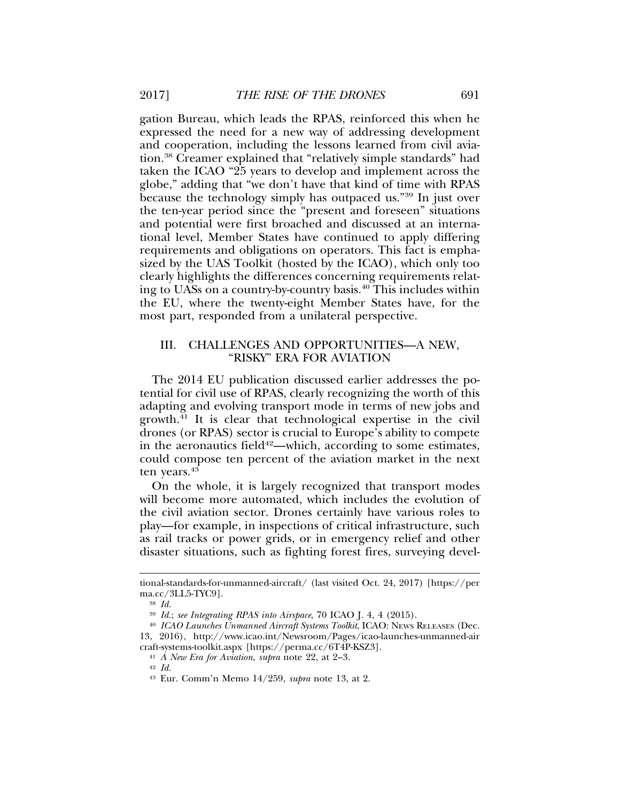gation Bureau, which leads the RPAS, reinforced this when he expressed the need for a new way of addressing development and cooperation, including the lessons learned from civil aviation.38 Creamer explained that "relatively simple standards" had taken the ICAO "25 years to develop and implement across the globe," adding that "we don't have that kind of time with RPAS because the technology simply has outpaced us."39 In just over the ten-year period since the "present and foreseen" situations and potential were first broached and discussed at an international level, Member States have continued to apply differing requirements and obligations on operators. This fact is emphasized by the UAS Toolkit (hosted by the ICAO), which only too clearly highlights the differences concerning requirements relating to UASs on a country-by-country basis.40 This includes within the EU, where the twenty-eight Member States have, for the most part, responded from a unilateral perspective.

# III. CHALLENGES AND OPPORTUNITIES—A NEW, "RISKY" ERA FOR AVIATION

The 2014 EU publication discussed earlier addresses the potential for civil use of RPAS, clearly recognizing the worth of this adapting and evolving transport mode in terms of new jobs and growth.41 It is clear that technological expertise in the civil drones (or RPAS) sector is crucial to Europe's ability to compete in the aeronautics field<sup>42</sup>—which, according to some estimates, could compose ten percent of the aviation market in the next ten years.<sup>43</sup>

On the whole, it is largely recognized that transport modes will become more automated, which includes the evolution of the civil aviation sector. Drones certainly have various roles to play—for example, in inspections of critical infrastructure, such as rail tracks or power grids, or in emergency relief and other disaster situations, such as fighting forest fires, surveying devel-

<sup>42</sup> *Id.*

tional-standards-for-unmanned-aircraft/ (last visited Oct. 24, 2017) [https://per ma.cc/3LL5-TYC9].

<sup>38</sup> *Id.*

<sup>39</sup> *Id.*; *see Integrating RPAS into Airspace*, 70 ICAO J. 4, 4 (2015).

<sup>40</sup> *ICAO Launches Unmanned Aircraft Systems Toolkit*, ICAO: NEWS RELEASES (Dec. 13, 2016), http://www.icao.int/Newsroom/Pages/icao-launches-unmanned-air craft-systems-toolkit.aspx [https://perma.cc/6T4P-KSZ3].

<sup>41</sup> *A New Era for Aviation*, *supra* note 22, at 2–3.

<sup>43</sup> Eur. Comm'n Memo 14/259, *supra* note 13, at 2.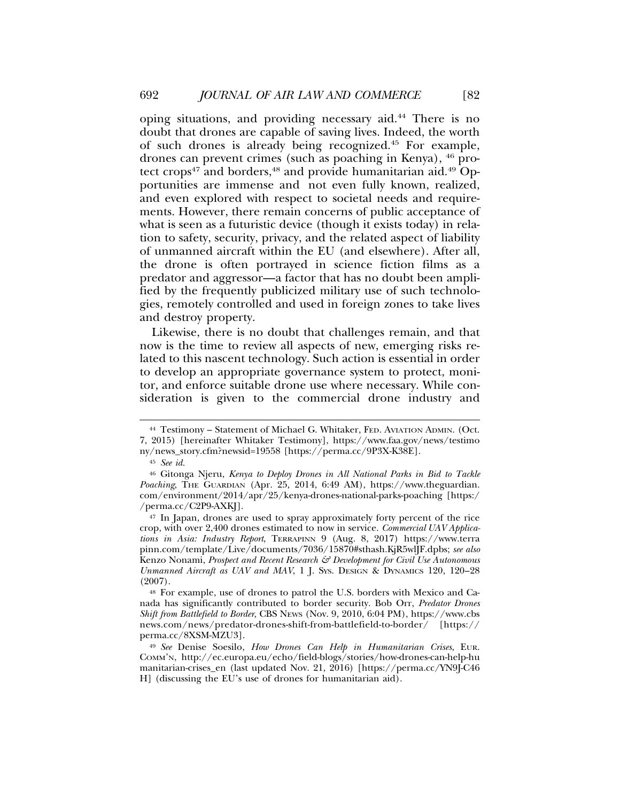oping situations, and providing necessary aid.44 There is no doubt that drones are capable of saving lives. Indeed, the worth of such drones is already being recognized.45 For example, drones can prevent crimes (such as poaching in Kenya), 46 protect crops<sup>47</sup> and borders,<sup>48</sup> and provide humanitarian aid.<sup>49</sup> Opportunities are immense and not even fully known, realized, and even explored with respect to societal needs and requirements. However, there remain concerns of public acceptance of what is seen as a futuristic device (though it exists today) in relation to safety, security, privacy, and the related aspect of liability of unmanned aircraft within the EU (and elsewhere). After all, the drone is often portrayed in science fiction films as a predator and aggressor—a factor that has no doubt been amplified by the frequently publicized military use of such technologies, remotely controlled and used in foreign zones to take lives and destroy property.

Likewise, there is no doubt that challenges remain, and that now is the time to review all aspects of new, emerging risks related to this nascent technology. Such action is essential in order to develop an appropriate governance system to protect, monitor, and enforce suitable drone use where necessary. While consideration is given to the commercial drone industry and

<sup>44</sup> Testimony – Statement of Michael G. Whitaker, FED. AVIATION ADMIN. (Oct. 7, 2015) [hereinafter Whitaker Testimony], https://www.faa.gov/news/testimo ny/news\_story.cfm?newsid=19558 [https://perma.cc/9P3X-K38E].

<sup>45</sup> *See id.*

<sup>46</sup> Gitonga Njeru, *Kenya to Deploy Drones in All National Parks in Bid to Tackle* Poaching, THE GUARDIAN (Apr. 25, 2014, 6:49 AM), https://www.theguardian. com/environment/2014/apr/25/kenya-drones-national-parks-poaching [https:/ /perma.cc/C2P9-AXKJ].

<sup>47</sup> In Japan, drones are used to spray approximately forty percent of the rice crop, with over 2,400 drones estimated to now in service. *Commercial UAV Applications in Asia: Industry Report*, TERRAPINN 9 (Aug. 8, 2017) https://www.terra pinn.com/template/Live/documents/7036/15870#sthash.KjR5wlJF.dpbs; *see also* Kenzo Nonami, *Prospect and Recent Research & Development for Civil Use Autonomous Unmanned Aircraft as UAV and MAV*, 1 J. SYS. DESIGN & DYNAMICS 120, 120–28 (2007).

<sup>48</sup> For example, use of drones to patrol the U.S. borders with Mexico and Canada has significantly contributed to border security. Bob Orr, *Predator Drones Shift from Battlefield to Border*, CBS NEWS (Nov. 9, 2010, 6:04 PM), https://www.cbs news.com/news/predator-drones-shift-from-battlefield-to-border/ [https:// perma.cc/8XSM-MZU3].

<sup>49</sup> *See* Denise Soesilo, *How Drones Can Help in Humanitarian Crises*, EUR. COMM'N, http://ec.europa.eu/echo/field-blogs/stories/how-drones-can-help-hu manitarian-crises\_en (last updated Nov. 21, 2016) [https://perma.cc/YN9J-C46 H] (discussing the EU's use of drones for humanitarian aid).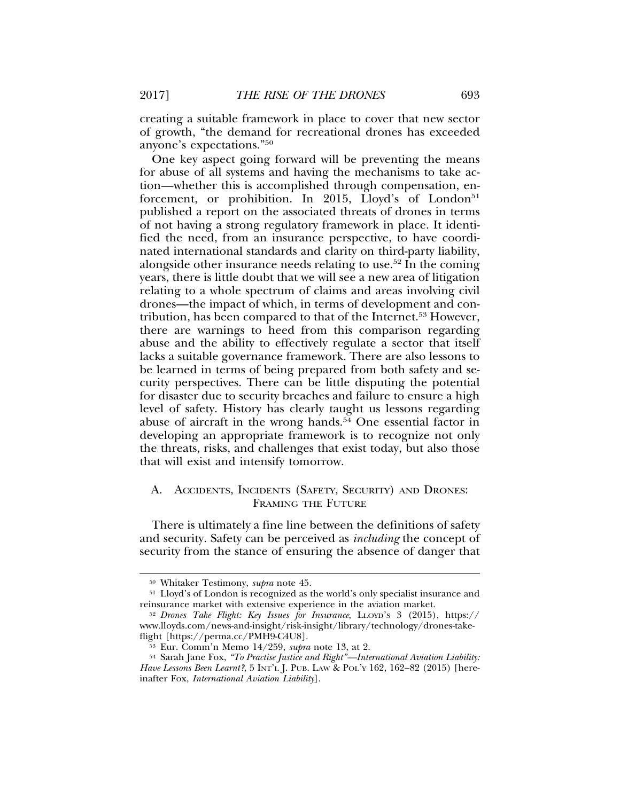creating a suitable framework in place to cover that new sector of growth, "the demand for recreational drones has exceeded anyone's expectations."50

One key aspect going forward will be preventing the means for abuse of all systems and having the mechanisms to take action—whether this is accomplished through compensation, enforcement, or prohibition. In 2015, Lloyd's of London<sup>51</sup> published a report on the associated threats of drones in terms of not having a strong regulatory framework in place. It identified the need, from an insurance perspective, to have coordinated international standards and clarity on third-party liability, alongside other insurance needs relating to use.<sup>52</sup> In the coming years, there is little doubt that we will see a new area of litigation relating to a whole spectrum of claims and areas involving civil drones—the impact of which, in terms of development and contribution, has been compared to that of the Internet.<sup>53</sup> However, there are warnings to heed from this comparison regarding abuse and the ability to effectively regulate a sector that itself lacks a suitable governance framework. There are also lessons to be learned in terms of being prepared from both safety and security perspectives. There can be little disputing the potential for disaster due to security breaches and failure to ensure a high level of safety. History has clearly taught us lessons regarding abuse of aircraft in the wrong hands.<sup>54</sup> One essential factor in developing an appropriate framework is to recognize not only the threats, risks, and challenges that exist today, but also those that will exist and intensify tomorrow.

## A. ACCIDENTS, INCIDENTS (SAFETY, SECURITY) AND DRONES: FRAMING THE FUTURE

There is ultimately a fine line between the definitions of safety and security. Safety can be perceived as *including* the concept of security from the stance of ensuring the absence of danger that

<sup>50</sup> Whitaker Testimony, *supra* note 45.

<sup>51</sup> Lloyd's of London is recognized as the world's only specialist insurance and reinsurance market with extensive experience in the aviation market.

<sup>52</sup> *Drones Take Flight: Key Issues for Insurance*, LLOYD'S 3 (2015), https:// www.lloyds.com/news-and-insight/risk-insight/library/technology/drones-takeflight [https://perma.cc/PMH9-C4U8].

<sup>53</sup> Eur. Comm'n Memo 14/259, *supra* note 13, at 2.

<sup>54</sup> Sarah Jane Fox, *"To Practise Justice and Right"—International Aviation Liability: Have Lessons Been Learnt?*, 5 INT'L J. PUB. LAW & POL'Y 162, 162–82 (2015) [hereinafter Fox, *International Aviation Liability*].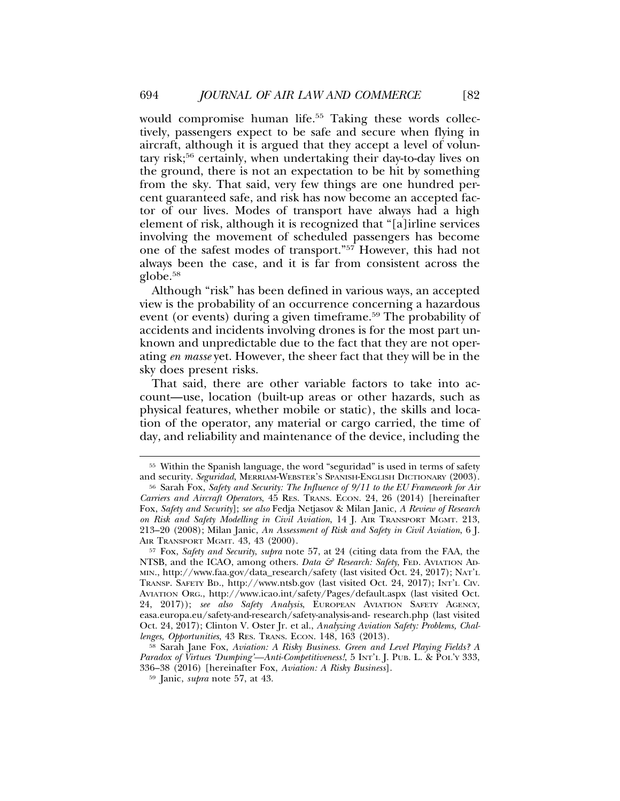would compromise human life.<sup>55</sup> Taking these words collectively, passengers expect to be safe and secure when flying in aircraft, although it is argued that they accept a level of voluntary risk;56 certainly, when undertaking their day-to-day lives on the ground, there is not an expectation to be hit by something from the sky. That said, very few things are one hundred percent guaranteed safe, and risk has now become an accepted factor of our lives. Modes of transport have always had a high element of risk, although it is recognized that "[a]irline services involving the movement of scheduled passengers has become one of the safest modes of transport."57 However, this had not always been the case, and it is far from consistent across the globe.<sup>58</sup>

Although "risk" has been defined in various ways, an accepted view is the probability of an occurrence concerning a hazardous event (or events) during a given timeframe.<sup>59</sup> The probability of accidents and incidents involving drones is for the most part unknown and unpredictable due to the fact that they are not operating *en masse* yet. However, the sheer fact that they will be in the sky does present risks.

That said, there are other variable factors to take into account—use, location (built-up areas or other hazards, such as physical features, whether mobile or static), the skills and location of the operator, any material or cargo carried, the time of day, and reliability and maintenance of the device, including the

<sup>55</sup> Within the Spanish language, the word "seguridad" is used in terms of safety and security. *Seguridad*, MERRIAM-WEBSTER'S SPANISH-ENGLISH DICTIONARY (2003).

<sup>56</sup> Sarah Fox, *Safety and Security: The Influence of 9/11 to the EU Framework for Air Carriers and Aircraft Operators*, 45 RES. TRANS. ECON. 24, 26 (2014) [hereinafter Fox, *Safety and Security*]; *see also* Fedja Netjasov & Milan Janic, *A Review of Research on Risk and Safety Modelling in Civil Aviation*, 14 J. AIR TRANSPORT MGMT. 213, 213–20 (2008); Milan Janic, *An Assessment of Risk and Safety in Civil Aviation*, 6 J. AIR TRANSPORT MGMT. 43, 43 (2000).

<sup>57</sup> Fox, *Safety and Security*, *supra* note 57, at 24 (citing data from the FAA, the NTSB, and the ICAO, among others. *Data & Research: Safety*, FED. AVIATION AD-MIN., http://www.faa.gov/data\_research/safety (last visited Oct. 24, 2017); NAT'L TRANSP. SAFETY BD., http://www.ntsb.gov (last visited Oct. 24, 2017); INT'L CIV. AVIATION ORG., http://www.icao.int/safety/Pages/default.aspx (last visited Oct. 24, 2017)); *see also Safety Analysis*, EUROPEAN AVIATION SAFETY AGENCY, easa.europa.eu/safety-and-research/safety-analysis-and- research.php (last visited Oct. 24, 2017); Clinton V. Oster Jr. et al., *Analyzing Aviation Safety: Problems, Challenges, Opportunities*, 43 RES. TRANS. ECON. 148, 163 (2013).

<sup>58</sup> Sarah Jane Fox, *Aviation: A Risky Business. Green and Level Playing Fields? A Paradox of Virtues 'Dumping'—Anti-Competitiveness!*, 5 INT'L J. PUB. L. & POL'Y 333, 336–38 (2016) [hereinafter Fox, *Aviation: A Risky Business*].

<sup>59</sup> Janic, *supra* note 57, at 43.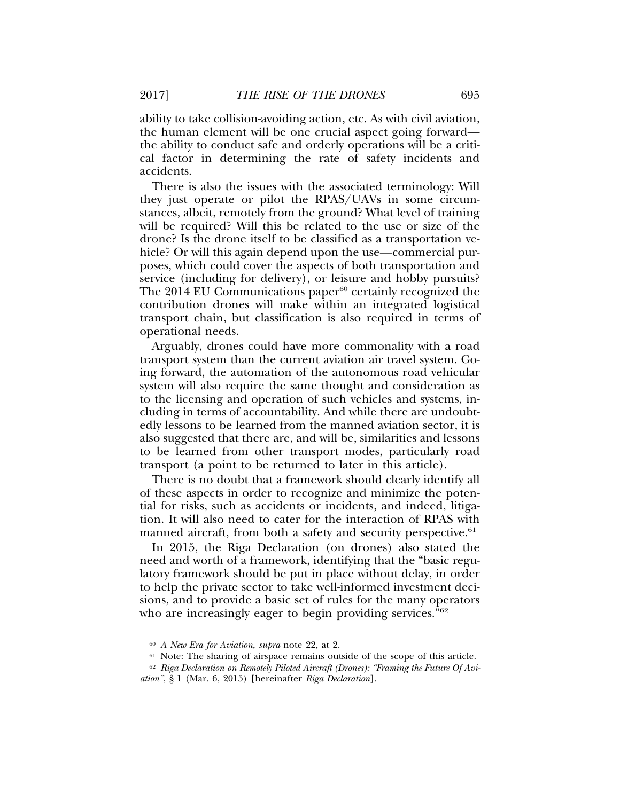ability to take collision-avoiding action, etc. As with civil aviation, the human element will be one crucial aspect going forward the ability to conduct safe and orderly operations will be a critical factor in determining the rate of safety incidents and accidents.

There is also the issues with the associated terminology: Will they just operate or pilot the RPAS/UAVs in some circumstances, albeit, remotely from the ground? What level of training will be required? Will this be related to the use or size of the drone? Is the drone itself to be classified as a transportation vehicle? Or will this again depend upon the use—commercial purposes, which could cover the aspects of both transportation and service (including for delivery), or leisure and hobby pursuits? The  $2014$  EU Communications paper $60$  certainly recognized the contribution drones will make within an integrated logistical transport chain, but classification is also required in terms of operational needs.

Arguably, drones could have more commonality with a road transport system than the current aviation air travel system. Going forward, the automation of the autonomous road vehicular system will also require the same thought and consideration as to the licensing and operation of such vehicles and systems, including in terms of accountability. And while there are undoubtedly lessons to be learned from the manned aviation sector, it is also suggested that there are, and will be, similarities and lessons to be learned from other transport modes, particularly road transport (a point to be returned to later in this article).

There is no doubt that a framework should clearly identify all of these aspects in order to recognize and minimize the potential for risks, such as accidents or incidents, and indeed, litigation. It will also need to cater for the interaction of RPAS with manned aircraft, from both a safety and security perspective.<sup>61</sup>

In 2015, the Riga Declaration (on drones) also stated the need and worth of a framework, identifying that the "basic regulatory framework should be put in place without delay, in order to help the private sector to take well-informed investment decisions, and to provide a basic set of rules for the many operators who are increasingly eager to begin providing services."<sup>62</sup>

<sup>60</sup> *A New Era for Aviation*, *supra* note 22, at 2.

<sup>61</sup> Note: The sharing of airspace remains outside of the scope of this article.

<sup>62</sup> *Riga Declaration on Remotely Piloted Aircraft (Drones): "Framing the Future Of Aviation"*, § 1 (Mar. 6, 2015) [hereinafter *Riga Declaration*].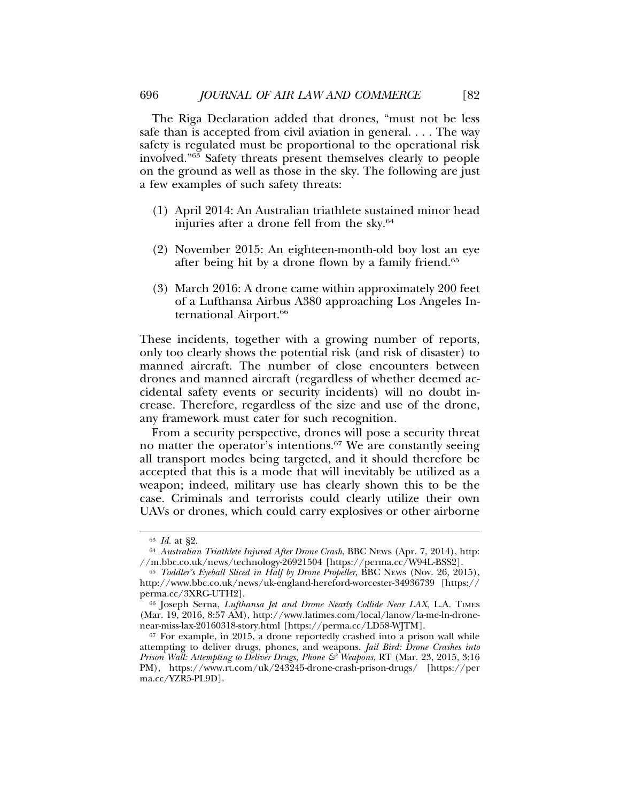The Riga Declaration added that drones, "must not be less safe than is accepted from civil aviation in general. . . . The way safety is regulated must be proportional to the operational risk involved."63 Safety threats present themselves clearly to people on the ground as well as those in the sky. The following are just a few examples of such safety threats:

- (1) April 2014: An Australian triathlete sustained minor head injuries after a drone fell from the sky.64
- (2) November 2015: An eighteen-month-old boy lost an eye after being hit by a drone flown by a family friend.65
- (3) March 2016: A drone came within approximately 200 feet of a Lufthansa Airbus A380 approaching Los Angeles International Airport.<sup>66</sup>

These incidents, together with a growing number of reports, only too clearly shows the potential risk (and risk of disaster) to manned aircraft. The number of close encounters between drones and manned aircraft (regardless of whether deemed accidental safety events or security incidents) will no doubt increase. Therefore, regardless of the size and use of the drone, any framework must cater for such recognition.

From a security perspective, drones will pose a security threat no matter the operator's intentions.<sup>67</sup> We are constantly seeing all transport modes being targeted, and it should therefore be accepted that this is a mode that will inevitably be utilized as a weapon; indeed, military use has clearly shown this to be the case. Criminals and terrorists could clearly utilize their own UAVs or drones, which could carry explosives or other airborne

<sup>63</sup> *Id.* at §2.

<sup>64</sup> *Australian Triathlete Injured After Drone Crash*, BBC NEWS (Apr. 7, 2014), http: //m.bbc.co.uk/news/technology-26921504 [https://perma.cc/W94L-BSS2].

<sup>65</sup> *Toddler's Eyeball Sliced in Half by Drone Propeller*, BBC NEWS (Nov. 26, 2015), http://www.bbc.co.uk/news/uk-england-hereford-worcester-34936739 [https:// perma.cc/3XRG-UTH2].

<sup>66</sup> Joseph Serna, *Lufthansa Jet and Drone Nearly Collide Near LAX*, L.A. TIMES (Mar. 19, 2016, 8:57 AM), http://www.latimes.com/local/lanow/la-me-ln-dronenear-miss-lax-20160318-story.html [https://perma.cc/LD58-WJTM].

 $67$  For example, in 2015, a drone reportedly crashed into a prison wall while attempting to deliver drugs, phones, and weapons. *Jail Bird: Drone Crashes into Prison Wall: Attempting to Deliver Drugs, Phone & Weapons*, RT (Mar. 23, 2015, 3:16 PM), https://www.rt.com/uk/243245-drone-crash-prison-drugs/ [https://per ma.cc/YZR5-PL9D].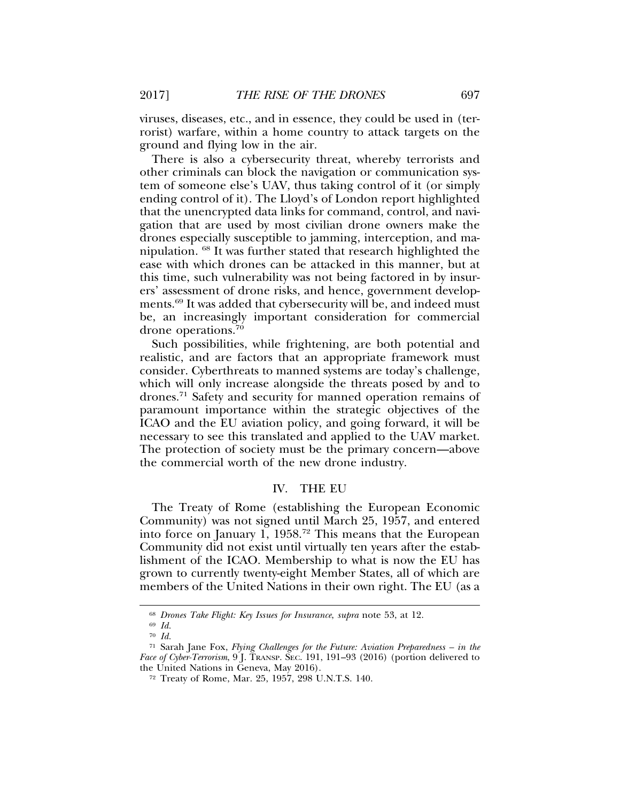viruses, diseases, etc., and in essence, they could be used in (terrorist) warfare, within a home country to attack targets on the ground and flying low in the air.

There is also a cybersecurity threat, whereby terrorists and other criminals can block the navigation or communication system of someone else's UAV, thus taking control of it (or simply ending control of it). The Lloyd's of London report highlighted that the unencrypted data links for command, control, and navigation that are used by most civilian drone owners make the drones especially susceptible to jamming, interception, and manipulation. 68 It was further stated that research highlighted the ease with which drones can be attacked in this manner, but at this time, such vulnerability was not being factored in by insurers' assessment of drone risks, and hence, government developments.69 It was added that cybersecurity will be, and indeed must be, an increasingly important consideration for commercial drone operations.70

Such possibilities, while frightening, are both potential and realistic, and are factors that an appropriate framework must consider. Cyberthreats to manned systems are today's challenge, which will only increase alongside the threats posed by and to drones.71 Safety and security for manned operation remains of paramount importance within the strategic objectives of the ICAO and the EU aviation policy, and going forward, it will be necessary to see this translated and applied to the UAV market. The protection of society must be the primary concern—above the commercial worth of the new drone industry.

#### IV. THE EU

The Treaty of Rome (establishing the European Economic Community) was not signed until March 25, 1957, and entered into force on January 1, 1958.72 This means that the European Community did not exist until virtually ten years after the establishment of the ICAO. Membership to what is now the EU has grown to currently twenty-eight Member States, all of which are members of the United Nations in their own right. The EU (as a

<sup>68</sup> *Drones Take Flight: Key Issues for Insurance*, *supra* note 53, at 12.

<sup>69</sup> *Id.*

<sup>70</sup> *Id.*

<sup>71</sup> Sarah Jane Fox, *Flying Challenges for the Future: Aviation Preparedness – in the Face of Cyber-Terrorism*, 9 J. TRANSP. SEC. 191, 191–93 (2016) (portion delivered to the United Nations in Geneva, May 2016).

<sup>72</sup> Treaty of Rome, Mar. 25, 1957, 298 U.N.T.S. 140.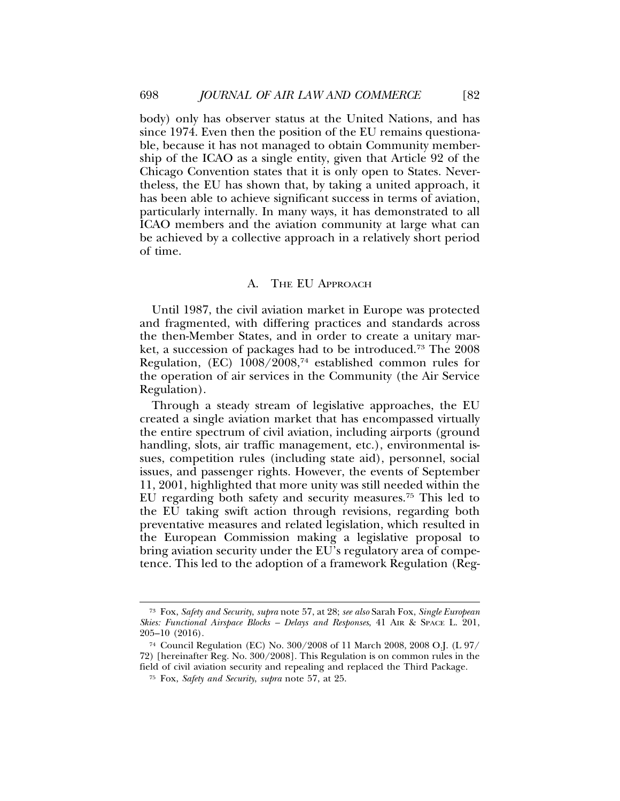body) only has observer status at the United Nations, and has since 1974. Even then the position of the EU remains questionable, because it has not managed to obtain Community membership of the ICAO as a single entity, given that Article 92 of the Chicago Convention states that it is only open to States. Nevertheless, the EU has shown that, by taking a united approach, it has been able to achieve significant success in terms of aviation, particularly internally. In many ways, it has demonstrated to all ICAO members and the aviation community at large what can be achieved by a collective approach in a relatively short period of time.

## A. THE EU APPROACH

Until 1987, the civil aviation market in Europe was protected and fragmented, with differing practices and standards across the then-Member States, and in order to create a unitary market, a succession of packages had to be introduced.73 The 2008 Regulation, (EC)  $1008/2008$ <sup>74</sup> established common rules for the operation of air services in the Community (the Air Service Regulation).

Through a steady stream of legislative approaches, the EU created a single aviation market that has encompassed virtually the entire spectrum of civil aviation, including airports (ground handling, slots, air traffic management, etc.), environmental issues, competition rules (including state aid), personnel, social issues, and passenger rights. However, the events of September 11, 2001, highlighted that more unity was still needed within the EU regarding both safety and security measures.75 This led to the EU taking swift action through revisions, regarding both preventative measures and related legislation, which resulted in the European Commission making a legislative proposal to bring aviation security under the EU's regulatory area of competence. This led to the adoption of a framework Regulation (Reg-

<sup>73</sup> Fox, *Safety and Security*, *supra* note 57, at 28; *see also* Sarah Fox, *Single European Skies: Functional Airspace Blocks – Delays and Responses*, 41 AIR & SPACE L. 201, 205–10 (2016).

<sup>74</sup> Council Regulation (EC) No. 300/2008 of 11 March 2008, 2008 O.J. (L 97/ 72) [hereinafter Reg. No. 300/2008]. This Regulation is on common rules in the field of civil aviation security and repealing and replaced the Third Package.

<sup>75</sup> Fox, *Safety and Security*, *supra* note 57, at 25.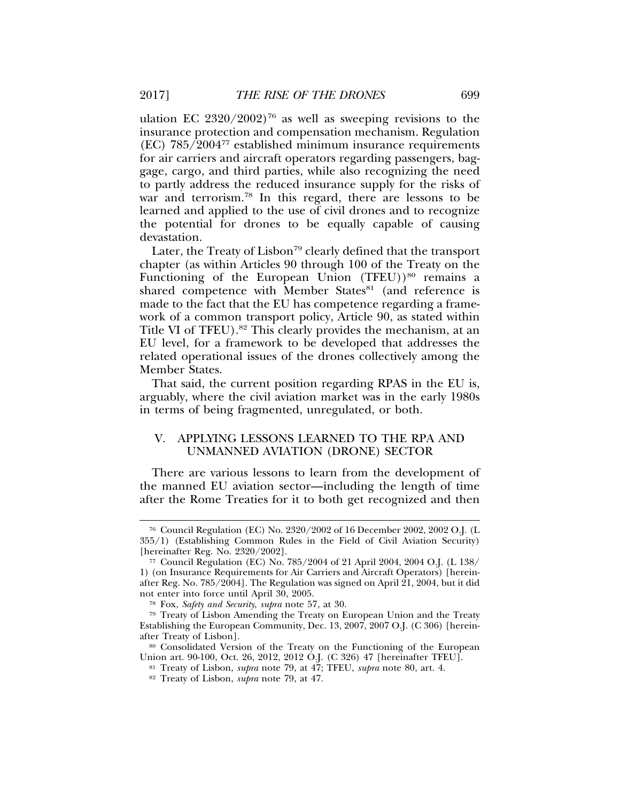ulation EC  $2320/2002$ <sup>76</sup> as well as sweeping revisions to the insurance protection and compensation mechanism. Regulation  $(EC)$  785/2004<sup>77</sup> established minimum insurance requirements for air carriers and aircraft operators regarding passengers, baggage, cargo, and third parties, while also recognizing the need to partly address the reduced insurance supply for the risks of war and terrorism.<sup>78</sup> In this regard, there are lessons to be learned and applied to the use of civil drones and to recognize the potential for drones to be equally capable of causing devastation.

Later, the Treaty of Lisbon<sup>79</sup> clearly defined that the transport chapter (as within Articles 90 through 100 of the Treaty on the Functioning of the European Union  $(TFEU))^{80}$  remains a shared competence with Member States<sup>81</sup> (and reference is made to the fact that the EU has competence regarding a framework of a common transport policy, Article 90, as stated within Title VI of TFEU).82 This clearly provides the mechanism, at an EU level, for a framework to be developed that addresses the related operational issues of the drones collectively among the Member States.

That said, the current position regarding RPAS in the EU is, arguably, where the civil aviation market was in the early 1980s in terms of being fragmented, unregulated, or both.

## V. APPLYING LESSONS LEARNED TO THE RPA AND UNMANNED AVIATION (DRONE) SECTOR

There are various lessons to learn from the development of the manned EU aviation sector—including the length of time after the Rome Treaties for it to both get recognized and then

<sup>76</sup> Council Regulation (EC) No. 2320/2002 of 16 December 2002, 2002 O.J. (L 355/1) (Establishing Common Rules in the Field of Civil Aviation Security) [hereinafter Reg. No. 2320/2002].

<sup>77</sup> Council Regulation (EC) No. 785/2004 of 21 April 2004, 2004 O.J. (L 138/ 1) (on Insurance Requirements for Air Carriers and Aircraft Operators) [hereinafter Reg. No. 785/2004]. The Regulation was signed on April 21, 2004, but it did not enter into force until April 30, 2005.

<sup>78</sup> Fox, *Safety and Security*, *supra* note 57, at 30.

<sup>79</sup> Treaty of Lisbon Amending the Treaty on European Union and the Treaty Establishing the European Community, Dec. 13, 2007, 2007 O.J. (C 306) [hereinafter Treaty of Lisbon].

<sup>80</sup> Consolidated Version of the Treaty on the Functioning of the European Union art. 90-100, Oct. 26, 2012, 2012 O.J. (C 326) 47 [hereinafter TFEU].

<sup>81</sup> Treaty of Lisbon, *supra* note 79, at 47; TFEU, *supra* note 80, art. 4.

<sup>82</sup> Treaty of Lisbon, *supra* note 79, at 47.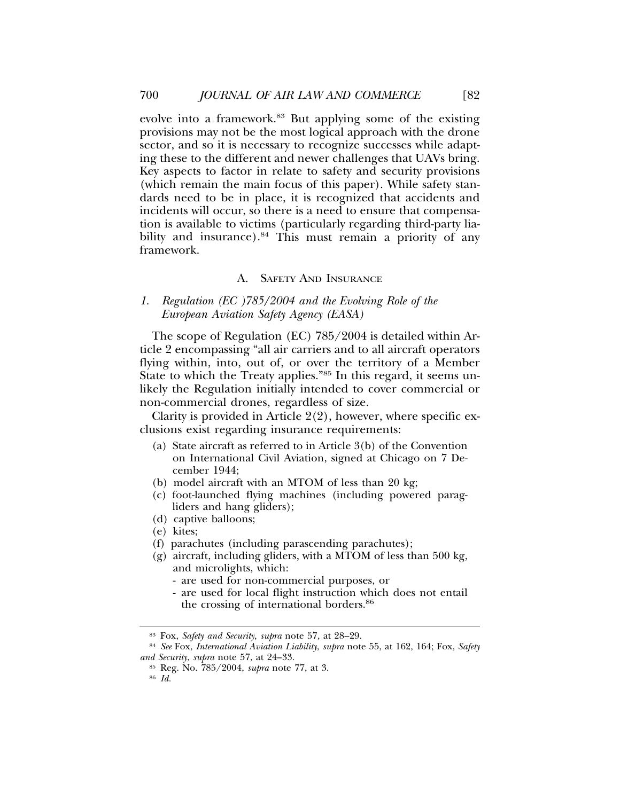evolve into a framework.<sup>83</sup> But applying some of the existing provisions may not be the most logical approach with the drone sector, and so it is necessary to recognize successes while adapting these to the different and newer challenges that UAVs bring. Key aspects to factor in relate to safety and security provisions (which remain the main focus of this paper). While safety standards need to be in place, it is recognized that accidents and incidents will occur, so there is a need to ensure that compensation is available to victims (particularly regarding third-party liability and insurance).<sup>84</sup> This must remain a priority of any framework.

## A. SAFETY AND INSURANCE

*1. Regulation (EC )785/2004 and the Evolving Role of the European Aviation Safety Agency (EASA)*

The scope of Regulation (EC) 785/2004 is detailed within Article 2 encompassing "all air carriers and to all aircraft operators flying within, into, out of, or over the territory of a Member State to which the Treaty applies."85 In this regard, it seems unlikely the Regulation initially intended to cover commercial or non-commercial drones, regardless of size.

Clarity is provided in Article 2(2), however, where specific exclusions exist regarding insurance requirements:

- (a) State aircraft as referred to in Article 3(b) of the Convention on International Civil Aviation, signed at Chicago on 7 December 1944;
- (b) model aircraft with an MTOM of less than 20 kg;
- (c) foot-launched flying machines (including powered paragliders and hang gliders);
- (d) captive balloons;
- (e) kites;
- (f) parachutes (including parascending parachutes);
- (g) aircraft, including gliders, with a MTOM of less than 500 kg, and microlights, which:
	- are used for non-commercial purposes, or
	- are used for local flight instruction which does not entail the crossing of international borders.<sup>86</sup>

<sup>83</sup> Fox, *Safety and Security*, *supra* note 57, at 28–29.

<sup>84</sup> *See* Fox, *International Aviation Liability*, *supra* note 55, at 162, 164; Fox, *Safety and Security*, *supra* note 57, at 24–33.

<sup>85</sup> Reg. No. 785/2004, *supra* note 77, at 3.

<sup>86</sup> *Id.*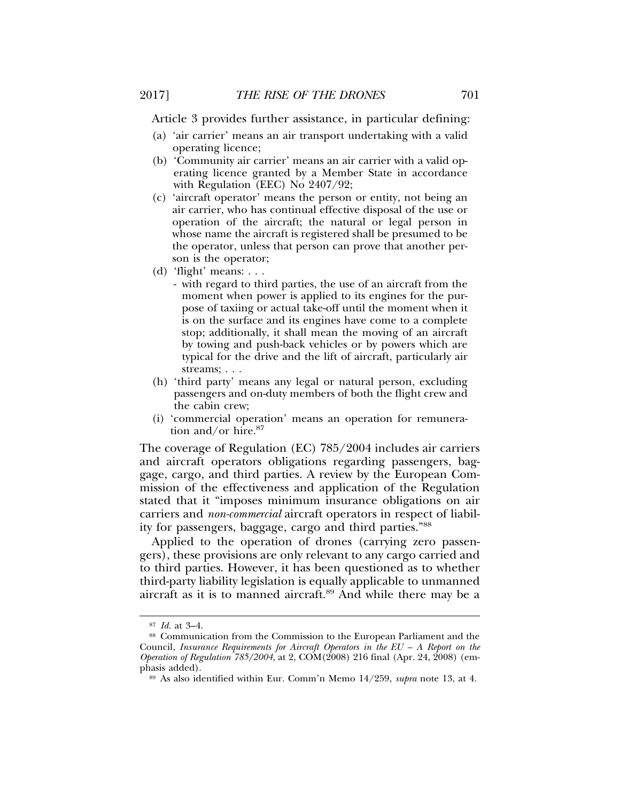Article 3 provides further assistance, in particular defining:

- (a) 'air carrier' means an air transport undertaking with a valid operating licence;
- (b) 'Community air carrier' means an air carrier with a valid operating licence granted by a Member State in accordance with Regulation (EEC) No 2407/92;
- (c) 'aircraft operator' means the person or entity, not being an air carrier, who has continual effective disposal of the use or operation of the aircraft; the natural or legal person in whose name the aircraft is registered shall be presumed to be the operator, unless that person can prove that another person is the operator;
- (d) 'flight' means: . . .
	- with regard to third parties, the use of an aircraft from the moment when power is applied to its engines for the purpose of taxiing or actual take-off until the moment when it is on the surface and its engines have come to a complete stop; additionally, it shall mean the moving of an aircraft by towing and push-back vehicles or by powers which are typical for the drive and the lift of aircraft, particularly air streams; . . .
- (h) 'third party' means any legal or natural person, excluding passengers and on-duty members of both the flight crew and the cabin crew;
- (i) 'commercial operation' means an operation for remuneration and/or hire.<sup>87</sup>

The coverage of Regulation (EC) 785/2004 includes air carriers and aircraft operators obligations regarding passengers, baggage, cargo, and third parties. A review by the European Commission of the effectiveness and application of the Regulation stated that it "imposes minimum insurance obligations on air carriers and *non-commercial* aircraft operators in respect of liability for passengers, baggage, cargo and third parties."88

Applied to the operation of drones (carrying zero passengers), these provisions are only relevant to any cargo carried and to third parties. However, it has been questioned as to whether third-party liability legislation is equally applicable to unmanned aircraft as it is to manned aircraft.89 And while there may be a

<sup>87</sup> *Id.* at 3–4.

<sup>88</sup> Communication from the Commission to the European Parliament and the Council, *Insurance Requirements for Aircraft Operators in the EU – A Report on the Operation of Regulation 785/2004*, at 2, COM(2008) 216 final (Apr. 24, 2008) (emphasis added).

<sup>89</sup> As also identified within Eur. Comm'n Memo 14/259, *supra* note 13, at 4.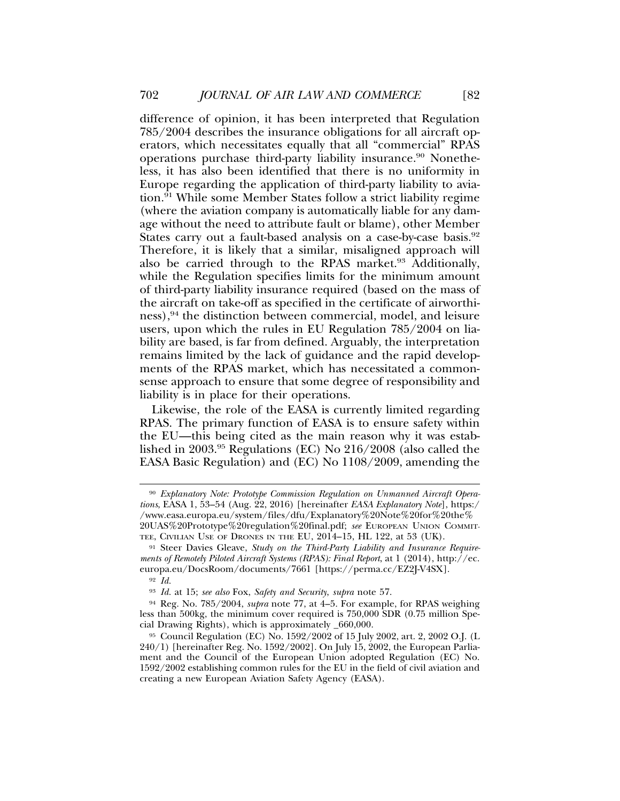difference of opinion, it has been interpreted that Regulation 785/2004 describes the insurance obligations for all aircraft operators, which necessitates equally that all "commercial" RPAS operations purchase third-party liability insurance.90 Nonetheless, it has also been identified that there is no uniformity in Europe regarding the application of third-party liability to aviation.91 While some Member States follow a strict liability regime (where the aviation company is automatically liable for any damage without the need to attribute fault or blame), other Member States carry out a fault-based analysis on a case-by-case basis.<sup>92</sup> Therefore, it is likely that a similar, misaligned approach will also be carried through to the RPAS market.<sup>93</sup> Additionally, while the Regulation specifies limits for the minimum amount of third-party liability insurance required (based on the mass of the aircraft on take-off as specified in the certificate of airworthiness),<sup>94</sup> the distinction between commercial, model, and leisure users, upon which the rules in EU Regulation 785/2004 on liability are based, is far from defined. Arguably, the interpretation remains limited by the lack of guidance and the rapid developments of the RPAS market, which has necessitated a commonsense approach to ensure that some degree of responsibility and liability is in place for their operations.

Likewise, the role of the EASA is currently limited regarding RPAS. The primary function of EASA is to ensure safety within the EU—this being cited as the main reason why it was established in 2003.95 Regulations (EC) No 216/2008 (also called the EASA Basic Regulation) and (EC) No 1108/2009, amending the

<sup>90</sup> *Explanatory Note: Prototype Commission Regulation on Unmanned Aircraft Operations*, EASA 1, 53–54 (Aug. 22, 2016) [hereinafter *EASA Explanatory Note*], https:/ /www.easa.europa.eu/system/files/dfu/Explanatory%20Note%20for%20the% 20UAS%20Prototype%20regulation%20final.pdf; *see* EUROPEAN UNION COMMIT-TEE, CIVILIAN USE OF DRONES IN THE EU, 2014–15, HL 122, at 53 (UK).

<sup>91</sup> Steer Davies Gleave, *Study on the Third-Party Liability and Insurance Requirements of Remotely Piloted Aircraft Systems (RPAS): Final Report*, at 1 (2014), http://ec. europa.eu/DocsRoom/documents/7661 [https://perma.cc/EZ2J-V4SX].

<sup>92</sup> *Id.*

<sup>93</sup> *Id.* at 15; *see also* Fox, *Safety and Security*, *supra* note 57.

<sup>94</sup> Reg. No. 785/2004, *supra* note 77, at 4–5. For example, for RPAS weighing less than 500kg, the minimum cover required is 750,000 SDR (0.75 million Special Drawing Rights), which is approximately \_660,000.

<sup>95</sup> Council Regulation (EC) No. 1592/2002 of 15 July 2002, art. 2, 2002 O.J. (L 240/1) [hereinafter Reg. No. 1592/2002]. On July 15, 2002, the European Parliament and the Council of the European Union adopted Regulation (EC) No. 1592/2002 establishing common rules for the EU in the field of civil aviation and creating a new European Aviation Safety Agency (EASA).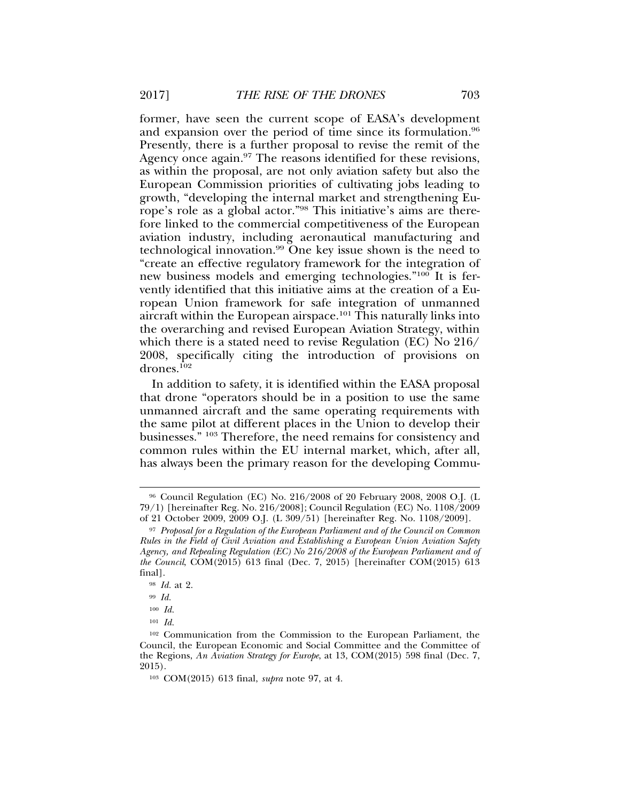former, have seen the current scope of EASA's development and expansion over the period of time since its formulation.<sup>96</sup> Presently, there is a further proposal to revise the remit of the Agency once again.<sup>97</sup> The reasons identified for these revisions, as within the proposal, are not only aviation safety but also the European Commission priorities of cultivating jobs leading to growth, "developing the internal market and strengthening Europe's role as a global actor."98 This initiative's aims are therefore linked to the commercial competitiveness of the European aviation industry, including aeronautical manufacturing and technological innovation.99 One key issue shown is the need to "create an effective regulatory framework for the integration of new business models and emerging technologies."100 It is fervently identified that this initiative aims at the creation of a European Union framework for safe integration of unmanned aircraft within the European airspace.<sup>101</sup> This naturally links into the overarching and revised European Aviation Strategy, within which there is a stated need to revise Regulation (EC) No 216/ 2008, specifically citing the introduction of provisions on drones.102

In addition to safety, it is identified within the EASA proposal that drone "operators should be in a position to use the same unmanned aircraft and the same operating requirements with the same pilot at different places in the Union to develop their businesses." 103 Therefore, the need remains for consistency and common rules within the EU internal market, which, after all, has always been the primary reason for the developing Commu-

<sup>96</sup> Council Regulation (EC) No. 216/2008 of 20 February 2008, 2008 O.J. (L 79/1) [hereinafter Reg. No. 216/2008]; Council Regulation (EC) No. 1108/2009 of 21 October 2009, 2009 O.J. (L 309/51) [hereinafter Reg. No. 1108/2009].

<sup>97</sup> *Proposal for a Regulation of the European Parliament and of the Council on Common Rules in the Field of Civil Aviation and Establishing a European Union Aviation Safety Agency, and Repealing Regulation (EC) No 216/2008 of the European Parliament and of the Council*, COM(2015) 613 final (Dec. 7, 2015) [hereinafter COM(2015) 613 final].

<sup>98</sup> *Id.* at 2.

<sup>99</sup> *Id.*

<sup>100</sup> *Id.*

<sup>101</sup> *Id.*

<sup>102</sup> Communication from the Commission to the European Parliament, the Council, the European Economic and Social Committee and the Committee of the Regions, *An Aviation Strategy for Europe*, at 13, COM(2015) 598 final (Dec. 7, 2015).

<sup>103</sup> COM(2015) 613 final, *supra* note 97, at 4.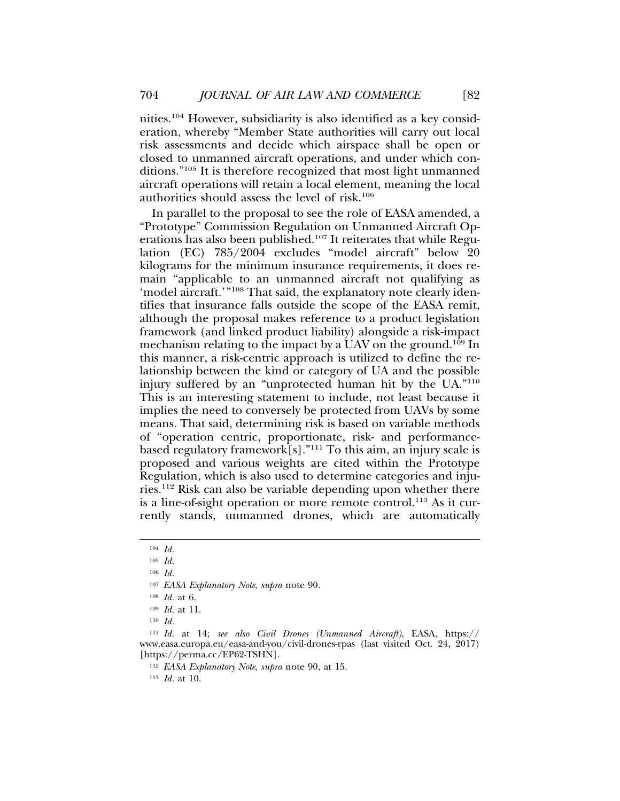nities.104 However, subsidiarity is also identified as a key consideration, whereby "Member State authorities will carry out local risk assessments and decide which airspace shall be open or closed to unmanned aircraft operations, and under which conditions."105 It is therefore recognized that most light unmanned aircraft operations will retain a local element, meaning the local authorities should assess the level of risk.106

In parallel to the proposal to see the role of EASA amended, a "Prototype" Commission Regulation on Unmanned Aircraft Operations has also been published.107 It reiterates that while Regulation (EC) 785/2004 excludes "model aircraft" below 20 kilograms for the minimum insurance requirements, it does remain "applicable to an unmanned aircraft not qualifying as 'model aircraft.'"108 That said, the explanatory note clearly identifies that insurance falls outside the scope of the EASA remit, although the proposal makes reference to a product legislation framework (and linked product liability) alongside a risk-impact mechanism relating to the impact by a UAV on the ground.109 In this manner, a risk-centric approach is utilized to define the relationship between the kind or category of UA and the possible injury suffered by an "unprotected human hit by the UA."110 This is an interesting statement to include, not least because it implies the need to conversely be protected from UAVs by some means. That said, determining risk is based on variable methods of "operation centric, proportionate, risk- and performancebased regulatory framework[s]."111 To this aim, an injury scale is proposed and various weights are cited within the Prototype Regulation, which is also used to determine categories and injuries.112 Risk can also be variable depending upon whether there is a line-of-sight operation or more remote control.<sup>113</sup> As it currently stands, unmanned drones, which are automatically

<sup>104</sup> *Id.*

<sup>105</sup> *Id.*

<sup>106</sup> *Id.*

<sup>107</sup> *EASA Explanatory Note*, *supra* note 90.

<sup>108</sup> *Id.* at 6.

<sup>109</sup> *Id.* at 11.

<sup>110</sup> *Id.*

<sup>111</sup> *Id.* at 14; *see also Civil Drones (Unmanned Aircraft)*, EASA, https:// www.easa.europa.eu/easa-and-you/civil-drones-rpas (last visited Oct. 24, 2017) [https://perma.cc/EP62-TSHN].

<sup>112</sup> *EASA Explanatory Note*, *supra* note 90, at 15.

<sup>113</sup> *Id.* at 10.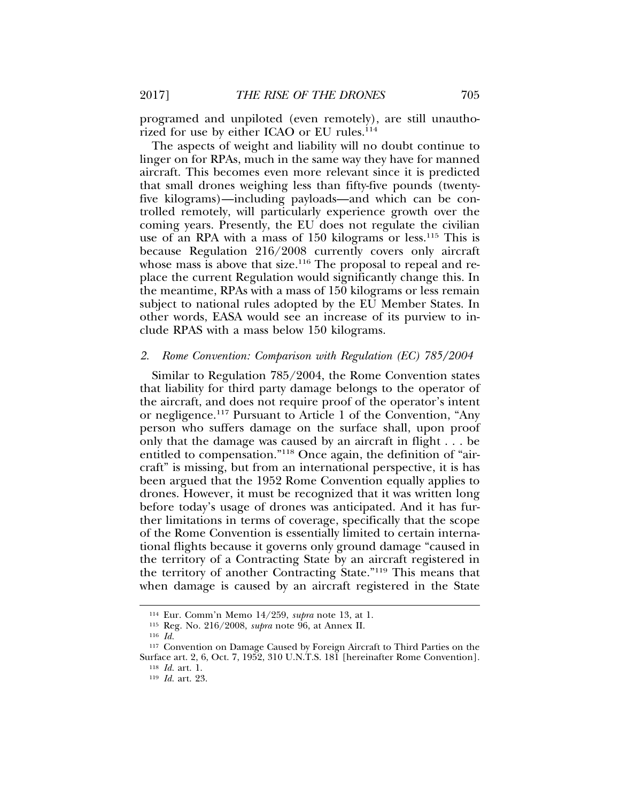programed and unpiloted (even remotely), are still unauthorized for use by either ICAO or EU rules.<sup>114</sup>

The aspects of weight and liability will no doubt continue to linger on for RPAs, much in the same way they have for manned aircraft. This becomes even more relevant since it is predicted that small drones weighing less than fifty-five pounds (twentyfive kilograms)—including payloads—and which can be controlled remotely, will particularly experience growth over the coming years. Presently, the EU does not regulate the civilian use of an RPA with a mass of 150 kilograms or less.<sup>115</sup> This is because Regulation 216/2008 currently covers only aircraft whose mass is above that size.<sup>116</sup> The proposal to repeal and replace the current Regulation would significantly change this. In the meantime, RPAs with a mass of 150 kilograms or less remain subject to national rules adopted by the EU Member States. In other words, EASA would see an increase of its purview to include RPAS with a mass below 150 kilograms.

#### *2. Rome Convention: Comparison with Regulation (EC) 785/2004*

Similar to Regulation 785/2004, the Rome Convention states that liability for third party damage belongs to the operator of the aircraft, and does not require proof of the operator's intent or negligence.117 Pursuant to Article 1 of the Convention, "Any person who suffers damage on the surface shall, upon proof only that the damage was caused by an aircraft in flight . . . be entitled to compensation."118 Once again, the definition of "aircraft" is missing, but from an international perspective, it is has been argued that the 1952 Rome Convention equally applies to drones. However, it must be recognized that it was written long before today's usage of drones was anticipated. And it has further limitations in terms of coverage, specifically that the scope of the Rome Convention is essentially limited to certain international flights because it governs only ground damage "caused in the territory of a Contracting State by an aircraft registered in the territory of another Contracting State."119 This means that when damage is caused by an aircraft registered in the State

<sup>114</sup> Eur. Comm'n Memo 14/259, *supra* note 13, at 1.

<sup>115</sup> Reg. No. 216/2008, *supra* note 96, at Annex II.

<sup>116</sup> *Id.*

<sup>117</sup> Convention on Damage Caused by Foreign Aircraft to Third Parties on the Surface art. 2, 6, Oct. 7, 1952, 310 U.N.T.S. 181 [hereinafter Rome Convention].

<sup>118</sup> *Id.* art. 1.

<sup>119</sup> *Id.* art. 23.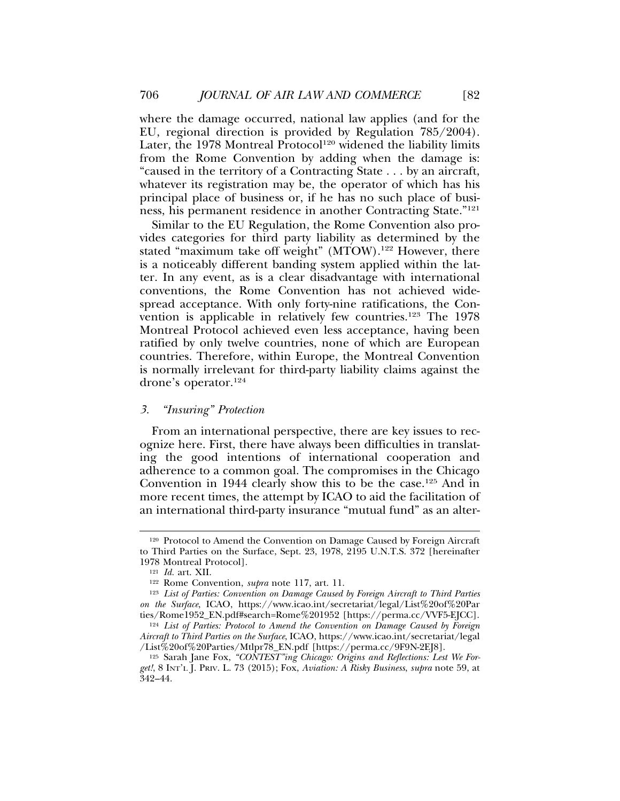where the damage occurred, national law applies (and for the EU, regional direction is provided by Regulation 785/2004). Later, the 1978 Montreal Protocol<sup>120</sup> widened the liability limits from the Rome Convention by adding when the damage is: "caused in the territory of a Contracting State . . . by an aircraft, whatever its registration may be, the operator of which has his principal place of business or, if he has no such place of business, his permanent residence in another Contracting State."121

Similar to the EU Regulation, the Rome Convention also provides categories for third party liability as determined by the stated "maximum take off weight" (MTOW).<sup>122</sup> However, there is a noticeably different banding system applied within the latter. In any event, as is a clear disadvantage with international conventions, the Rome Convention has not achieved widespread acceptance. With only forty-nine ratifications, the Convention is applicable in relatively few countries.<sup>123</sup> The 1978 Montreal Protocol achieved even less acceptance, having been ratified by only twelve countries, none of which are European countries. Therefore, within Europe, the Montreal Convention is normally irrelevant for third-party liability claims against the drone's operator.<sup>124</sup>

#### *3. "Insuring" Protection*

From an international perspective, there are key issues to recognize here. First, there have always been difficulties in translating the good intentions of international cooperation and adherence to a common goal. The compromises in the Chicago Convention in 1944 clearly show this to be the case.125 And in more recent times, the attempt by ICAO to aid the facilitation of an international third-party insurance "mutual fund" as an alter-

<sup>120</sup> Protocol to Amend the Convention on Damage Caused by Foreign Aircraft to Third Parties on the Surface, Sept. 23, 1978, 2195 U.N.T.S. 372 [hereinafter 1978 Montreal Protocol].

<sup>121</sup> *Id.* art. XII.

<sup>122</sup> Rome Convention, *supra* note 117, art. 11.

<sup>123</sup> *List of Parties: Convention on Damage Caused by Foreign Aircraft to Third Parties on the Surface*, ICAO, https://www.icao.int/secretariat/legal/List%20of%20Par ties/Rome1952\_EN.pdf#search=Rome%201952 [https://perma.cc/VVF5-EJCC].

<sup>124</sup> *List of Parties: Protocol to Amend the Convention on Damage Caused by Foreign Aircraft to Third Parties on the Surface*, ICAO, https://www.icao.int/secretariat/legal /List%20of%20Parties/Mtlpr78\_EN.pdf [https://perma.cc/9F9N-2EJ8].

<sup>125</sup> Sarah Jane Fox, *"CONTEST"ing Chicago: Origins and Reflections: Lest We Forget!*, 8 INT'L J. PRIV. L. 73 (2015); Fox, *Aviation: A Risky Business*, *supra* note 59, at 342–44.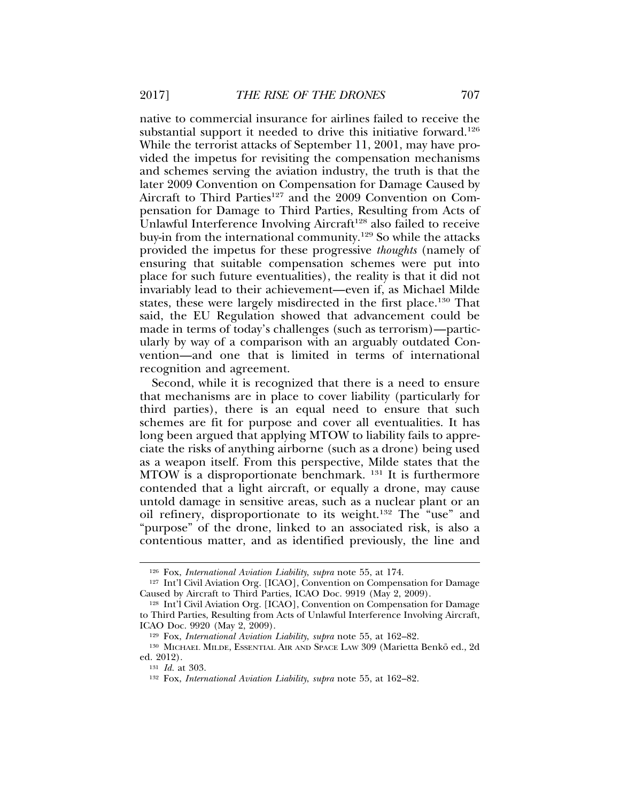native to commercial insurance for airlines failed to receive the substantial support it needed to drive this initiative forward.<sup>126</sup> While the terrorist attacks of September 11, 2001, may have provided the impetus for revisiting the compensation mechanisms and schemes serving the aviation industry, the truth is that the later 2009 Convention on Compensation for Damage Caused by Aircraft to Third Parties<sup>127</sup> and the 2009 Convention on Compensation for Damage to Third Parties, Resulting from Acts of Unlawful Interference Involving Aircraft<sup>128</sup> also failed to receive buy-in from the international community.129 So while the attacks provided the impetus for these progressive *thoughts* (namely of ensuring that suitable compensation schemes were put into place for such future eventualities), the reality is that it did not invariably lead to their achievement—even if, as Michael Milde states, these were largely misdirected in the first place.130 That said, the EU Regulation showed that advancement could be made in terms of today's challenges (such as terrorism)—particularly by way of a comparison with an arguably outdated Convention—and one that is limited in terms of international recognition and agreement.

Second, while it is recognized that there is a need to ensure that mechanisms are in place to cover liability (particularly for third parties), there is an equal need to ensure that such schemes are fit for purpose and cover all eventualities. It has long been argued that applying MTOW to liability fails to appreciate the risks of anything airborne (such as a drone) being used as a weapon itself. From this perspective, Milde states that the MTOW is a disproportionate benchmark. <sup>131</sup> It is furthermore contended that a light aircraft, or equally a drone, may cause untold damage in sensitive areas, such as a nuclear plant or an oil refinery, disproportionate to its weight.132 The "use" and "purpose" of the drone, linked to an associated risk, is also a contentious matter, and as identified previously, the line and

<sup>126</sup> Fox, *International Aviation Liability*, *supra* note 55, at 174.

<sup>127</sup> Int'l Civil Aviation Org. [ICAO], Convention on Compensation for Damage Caused by Aircraft to Third Parties, ICAO Doc. 9919 (May 2, 2009).

<sup>128</sup> Int'l Civil Aviation Org. [ICAO], Convention on Compensation for Damage to Third Parties, Resulting from Acts of Unlawful Interference Involving Aircraft, ICAO Doc. 9920 (May 2, 2009).

<sup>129</sup> Fox, *International Aviation Liability*, *supra* note 55, at 162–82.

<sup>&</sup>lt;sup>130</sup> MICHAEL MILDE, ESSENTIAL AIR AND SPACE LAW 309 (Marietta Benkö ed., 2d ed. 2012).

<sup>131</sup> *Id.* at 303.

<sup>132</sup> Fox, *International Aviation Liability*, *supra* note 55, at 162–82.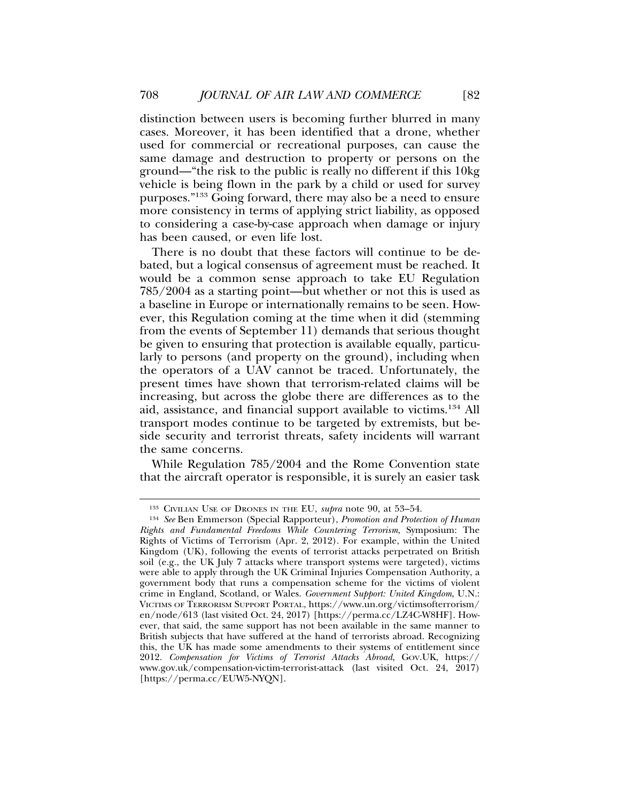distinction between users is becoming further blurred in many cases. Moreover, it has been identified that a drone, whether used for commercial or recreational purposes, can cause the same damage and destruction to property or persons on the ground—"the risk to the public is really no different if this 10kg vehicle is being flown in the park by a child or used for survey purposes."133 Going forward, there may also be a need to ensure more consistency in terms of applying strict liability, as opposed to considering a case-by-case approach when damage or injury has been caused, or even life lost.

There is no doubt that these factors will continue to be debated, but a logical consensus of agreement must be reached. It would be a common sense approach to take EU Regulation 785/2004 as a starting point—but whether or not this is used as a baseline in Europe or internationally remains to be seen. However, this Regulation coming at the time when it did (stemming from the events of September 11) demands that serious thought be given to ensuring that protection is available equally, particularly to persons (and property on the ground), including when the operators of a UAV cannot be traced. Unfortunately, the present times have shown that terrorism-related claims will be increasing, but across the globe there are differences as to the aid, assistance, and financial support available to victims.134 All transport modes continue to be targeted by extremists, but beside security and terrorist threats, safety incidents will warrant the same concerns.

While Regulation 785/2004 and the Rome Convention state that the aircraft operator is responsible, it is surely an easier task

<sup>133</sup> CIVILIAN USE OF DRONES IN THE EU, *supra* note 90, at 53–54.

<sup>134</sup> *See* Ben Emmerson (Special Rapporteur), *Promotion and Protection of Human Rights and Fundamental Freedoms While Countering Terrorism*, Symposium: The Rights of Victims of Terrorism (Apr. 2, 2012). For example, within the United Kingdom (UK), following the events of terrorist attacks perpetrated on British soil (e.g., the UK July 7 attacks where transport systems were targeted), victims were able to apply through the UK Criminal Injuries Compensation Authority, a government body that runs a compensation scheme for the victims of violent crime in England, Scotland, or Wales. *Government Support: United Kingdom*, U.N.: VICTIMS OF TERRORISM SUPPORT PORTAL, https://www.un.org/victimsofterrorism/ en/node/613 (last visited Oct. 24, 2017) [https://perma.cc/LZ4C-W8HF]. However, that said, the same support has not been available in the same manner to British subjects that have suffered at the hand of terrorists abroad. Recognizing this, the UK has made some amendments to their systems of entitlement since 2012. *Compensation for Victims of Terrorist Attacks Abroad*, GOV.UK, https:// www.gov.uk/compensation-victim-terrorist-attack (last visited Oct. 24, 2017) [https://perma.cc/EUW5-NYQN].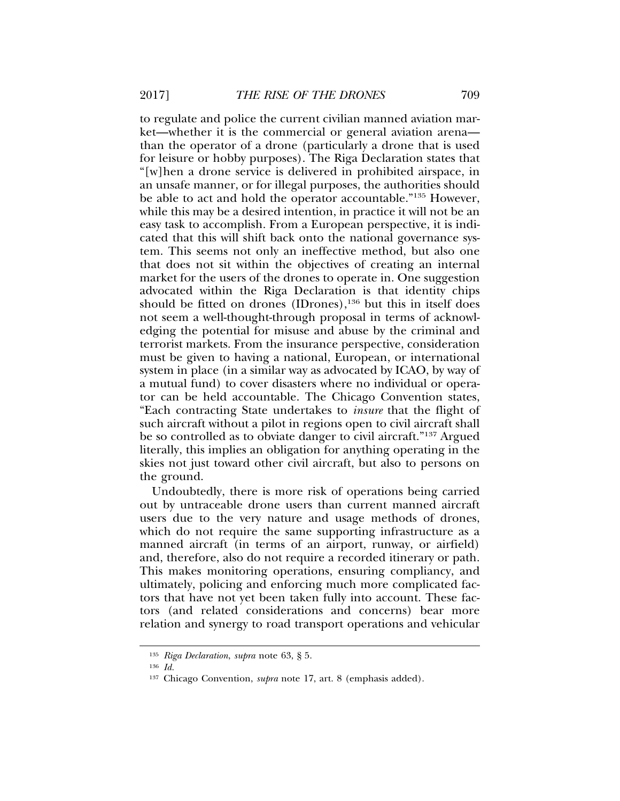to regulate and police the current civilian manned aviation market—whether it is the commercial or general aviation arena than the operator of a drone (particularly a drone that is used for leisure or hobby purposes). The Riga Declaration states that "[w]hen a drone service is delivered in prohibited airspace, in an unsafe manner, or for illegal purposes, the authorities should be able to act and hold the operator accountable."135 However, while this may be a desired intention, in practice it will not be an easy task to accomplish. From a European perspective, it is indicated that this will shift back onto the national governance system. This seems not only an ineffective method, but also one that does not sit within the objectives of creating an internal market for the users of the drones to operate in. One suggestion advocated within the Riga Declaration is that identity chips should be fitted on drones (IDrones), $136$  but this in itself does not seem a well-thought-through proposal in terms of acknowledging the potential for misuse and abuse by the criminal and terrorist markets. From the insurance perspective, consideration must be given to having a national, European, or international system in place (in a similar way as advocated by ICAO, by way of a mutual fund) to cover disasters where no individual or operator can be held accountable. The Chicago Convention states, "Each contracting State undertakes to *insure* that the flight of such aircraft without a pilot in regions open to civil aircraft shall be so controlled as to obviate danger to civil aircraft."137 Argued literally, this implies an obligation for anything operating in the skies not just toward other civil aircraft, but also to persons on the ground.

Undoubtedly, there is more risk of operations being carried out by untraceable drone users than current manned aircraft users due to the very nature and usage methods of drones, which do not require the same supporting infrastructure as a manned aircraft (in terms of an airport, runway, or airfield) and, therefore, also do not require a recorded itinerary or path. This makes monitoring operations, ensuring compliancy, and ultimately, policing and enforcing much more complicated factors that have not yet been taken fully into account. These factors (and related considerations and concerns) bear more relation and synergy to road transport operations and vehicular

<sup>135</sup> *Riga Declaration*, *supra* note 63, § 5.

<sup>136</sup> *Id.*

<sup>137</sup> Chicago Convention, *supra* note 17, art. 8 (emphasis added).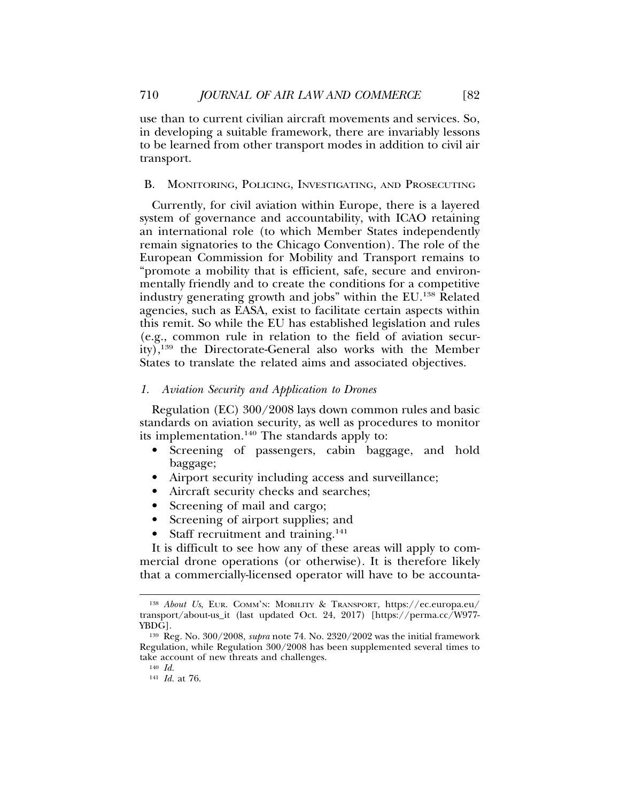use than to current civilian aircraft movements and services. So, in developing a suitable framework, there are invariably lessons to be learned from other transport modes in addition to civil air transport.

### B. MONITORING, POLICING, INVESTIGATING, AND PROSECUTING

Currently, for civil aviation within Europe, there is a layered system of governance and accountability, with ICAO retaining an international role (to which Member States independently remain signatories to the Chicago Convention). The role of the European Commission for Mobility and Transport remains to "promote a mobility that is efficient, safe, secure and environmentally friendly and to create the conditions for a competitive industry generating growth and jobs" within the EU.138 Related agencies, such as EASA, exist to facilitate certain aspects within this remit. So while the EU has established legislation and rules (e.g., common rule in relation to the field of aviation security),<sup>139</sup> the Directorate-General also works with the Member States to translate the related aims and associated objectives.

## *1. Aviation Security and Application to Drones*

Regulation (EC) 300/2008 lays down common rules and basic standards on aviation security, as well as procedures to monitor its implementation.140 The standards apply to:

- Screening of passengers, cabin baggage, and hold baggage;
- Airport security including access and surveillance;
- Aircraft security checks and searches;
- Screening of mail and cargo;
- Screening of airport supplies; and
- Staff recruitment and training.<sup>141</sup>

It is difficult to see how any of these areas will apply to commercial drone operations (or otherwise). It is therefore likely that a commercially-licensed operator will have to be accounta-

<sup>138</sup> *About Us*, EUR. COMM'N: MOBILITY & TRANSPORT, https://ec.europa.eu/ transport/about-us\_it (last updated Oct. 24, 2017) [https://perma.cc/W977- YBDG].

<sup>139</sup> Reg. No. 300/2008, *supra* note 74. No. 2320/2002 was the initial framework Regulation, while Regulation 300/2008 has been supplemented several times to take account of new threats and challenges.

<sup>140</sup> *Id.*

<sup>141</sup> *Id.* at 76.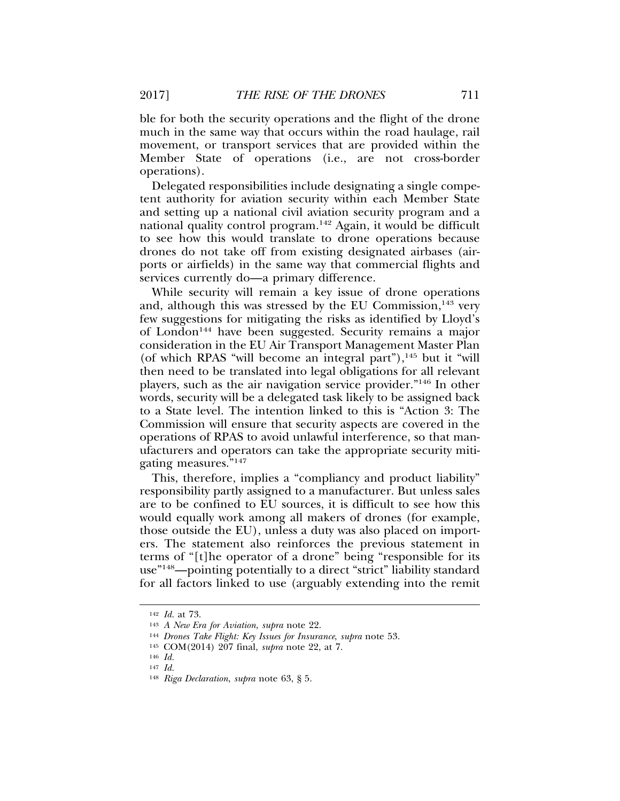ble for both the security operations and the flight of the drone much in the same way that occurs within the road haulage, rail movement, or transport services that are provided within the Member State of operations (i.e., are not cross-border operations).

Delegated responsibilities include designating a single competent authority for aviation security within each Member State and setting up a national civil aviation security program and a national quality control program.142 Again, it would be difficult to see how this would translate to drone operations because drones do not take off from existing designated airbases (airports or airfields) in the same way that commercial flights and services currently do—a primary difference.

While security will remain a key issue of drone operations and, although this was stressed by the EU Commission,<sup>143</sup> very few suggestions for mitigating the risks as identified by Lloyd's of London144 have been suggested. Security remains a major consideration in the EU Air Transport Management Master Plan (of which RPAS "will become an integral part"), $145$  but it "will then need to be translated into legal obligations for all relevant players, such as the air navigation service provider."146 In other words, security will be a delegated task likely to be assigned back to a State level. The intention linked to this is "Action 3: The Commission will ensure that security aspects are covered in the operations of RPAS to avoid unlawful interference, so that manufacturers and operators can take the appropriate security mitigating measures."147

This, therefore, implies a "compliancy and product liability" responsibility partly assigned to a manufacturer. But unless sales are to be confined to EU sources, it is difficult to see how this would equally work among all makers of drones (for example, those outside the EU), unless a duty was also placed on importers. The statement also reinforces the previous statement in terms of "[t]he operator of a drone" being "responsible for its use"148—pointing potentially to a direct "strict" liability standard for all factors linked to use (arguably extending into the remit

<sup>142</sup> *Id.* at 73.

<sup>143</sup> *A New Era for Aviation*, *supra* note 22.

<sup>144</sup> *Drones Take Flight: Key Issues for Insurance*, *supra* note 53.

<sup>145</sup> COM(2014) 207 final, *supra* note 22, at 7.

<sup>146</sup> *Id.*

<sup>147</sup> *Id.*

<sup>148</sup> *Riga Declaration*, *supra* note 63, § 5.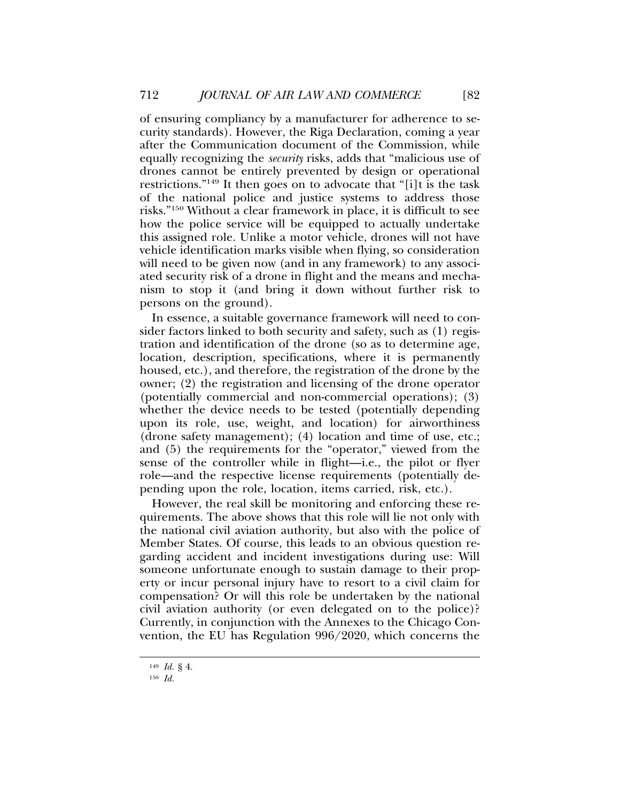of ensuring compliancy by a manufacturer for adherence to security standards). However, the Riga Declaration, coming a year after the Communication document of the Commission, while equally recognizing the *security* risks, adds that "malicious use of drones cannot be entirely prevented by design or operational restrictions."149 It then goes on to advocate that "[i]t is the task of the national police and justice systems to address those risks."150 Without a clear framework in place, it is difficult to see how the police service will be equipped to actually undertake this assigned role. Unlike a motor vehicle, drones will not have vehicle identification marks visible when flying, so consideration will need to be given now (and in any framework) to any associated security risk of a drone in flight and the means and mechanism to stop it (and bring it down without further risk to persons on the ground).

In essence, a suitable governance framework will need to consider factors linked to both security and safety, such as (1) registration and identification of the drone (so as to determine age, location, description, specifications, where it is permanently housed, etc.), and therefore, the registration of the drone by the owner; (2) the registration and licensing of the drone operator (potentially commercial and non-commercial operations); (3) whether the device needs to be tested (potentially depending upon its role, use, weight, and location) for airworthiness (drone safety management); (4) location and time of use, etc.; and (5) the requirements for the "operator," viewed from the sense of the controller while in flight—i.e., the pilot or flyer role—and the respective license requirements (potentially depending upon the role, location, items carried, risk, etc.).

However, the real skill be monitoring and enforcing these requirements. The above shows that this role will lie not only with the national civil aviation authority, but also with the police of Member States. Of course, this leads to an obvious question regarding accident and incident investigations during use: Will someone unfortunate enough to sustain damage to their property or incur personal injury have to resort to a civil claim for compensation? Or will this role be undertaken by the national civil aviation authority (or even delegated on to the police)? Currently, in conjunction with the Annexes to the Chicago Convention, the EU has Regulation 996/2020, which concerns the

<sup>149</sup> *Id.* § 4.

<sup>150</sup> *Id.*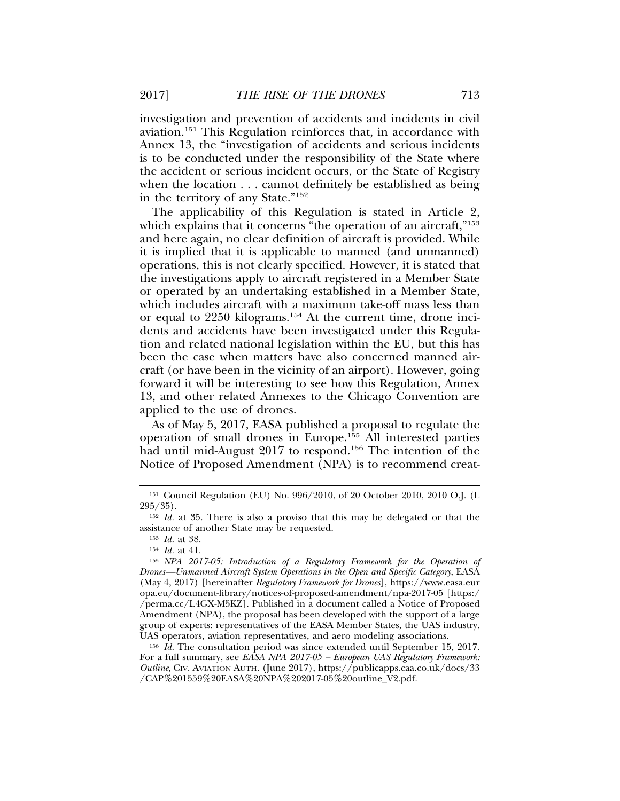investigation and prevention of accidents and incidents in civil aviation.151 This Regulation reinforces that, in accordance with Annex 13, the "investigation of accidents and serious incidents is to be conducted under the responsibility of the State where the accident or serious incident occurs, or the State of Registry when the location . . . cannot definitely be established as being in the territory of any State."152

The applicability of this Regulation is stated in Article 2, which explains that it concerns "the operation of an aircraft,"<sup>153</sup> and here again, no clear definition of aircraft is provided. While it is implied that it is applicable to manned (and unmanned) operations, this is not clearly specified. However, it is stated that the investigations apply to aircraft registered in a Member State or operated by an undertaking established in a Member State, which includes aircraft with a maximum take-off mass less than or equal to 2250 kilograms.154 At the current time, drone incidents and accidents have been investigated under this Regulation and related national legislation within the EU, but this has been the case when matters have also concerned manned aircraft (or have been in the vicinity of an airport). However, going forward it will be interesting to see how this Regulation, Annex 13, and other related Annexes to the Chicago Convention are applied to the use of drones.

As of May 5, 2017, EASA published a proposal to regulate the operation of small drones in Europe.155 All interested parties had until mid-August 2017 to respond.<sup>156</sup> The intention of the Notice of Proposed Amendment (NPA) is to recommend creat-

<sup>153</sup> *Id.* at 38.

<sup>154</sup> *Id.* at 41.

<sup>151</sup> Council Regulation (EU) No. 996/2010, of 20 October 2010, 2010 O.J. (L 295/35).

<sup>152</sup> *Id.* at 35. There is also a proviso that this may be delegated or that the assistance of another State may be requested.

<sup>155</sup> *NPA 2017-05: Introduction of a Regulatory Framework for the Operation of Drones—Unmanned Aircraft System Operations in the Open and Specific Category*, EASA (May 4, 2017) [hereinafter *Regulatory Framework for Drones*], https://www.easa.eur opa.eu/document-library/notices-of-proposed-amendment/npa-2017-05 [https:/ /perma.cc/L4GX-M5KZ]. Published in a document called a Notice of Proposed Amendment (NPA), the proposal has been developed with the support of a large group of experts: representatives of the EASA Member States, the UAS industry, UAS operators, aviation representatives, and aero modeling associations.

<sup>156</sup> *Id.* The consultation period was since extended until September 15, 2017. For a full summary, see *EASA NPA 2017-05 – European UAS Regulatory Framework: Outline*, CIV. AVIATION AUTH. (June 2017), https://publicapps.caa.co.uk/docs/33 /CAP%201559%20EASA%20NPA%202017-05%20outline\_V2.pdf.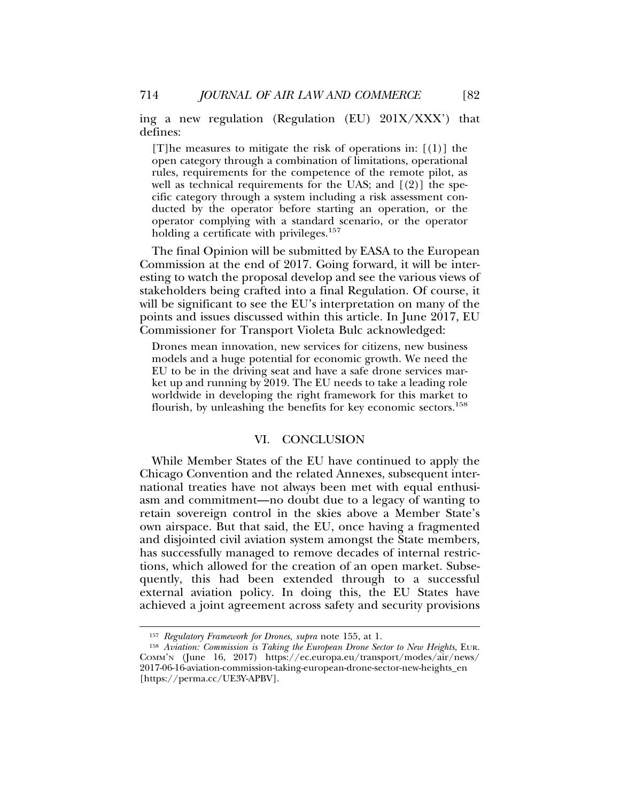ing a new regulation (Regulation (EU) 201X/XXX') that defines:

[T]he measures to mitigate the risk of operations in: [(1)] the open category through a combination of limitations, operational rules, requirements for the competence of the remote pilot, as well as technical requirements for the UAS; and  $[(2)]$  the specific category through a system including a risk assessment conducted by the operator before starting an operation, or the operator complying with a standard scenario, or the operator holding a certificate with privileges.<sup>157</sup>

The final Opinion will be submitted by EASA to the European Commission at the end of 2017. Going forward, it will be interesting to watch the proposal develop and see the various views of stakeholders being crafted into a final Regulation. Of course, it will be significant to see the EU's interpretation on many of the points and issues discussed within this article. In June 2017, EU Commissioner for Transport Violeta Bulc acknowledged:

Drones mean innovation, new services for citizens, new business models and a huge potential for economic growth. We need the EU to be in the driving seat and have a safe drone services market up and running by 2019. The EU needs to take a leading role worldwide in developing the right framework for this market to flourish, by unleashing the benefits for key economic sectors.<sup>158</sup>

## VI. CONCLUSION

While Member States of the EU have continued to apply the Chicago Convention and the related Annexes, subsequent international treaties have not always been met with equal enthusiasm and commitment—no doubt due to a legacy of wanting to retain sovereign control in the skies above a Member State's own airspace. But that said, the EU, once having a fragmented and disjointed civil aviation system amongst the State members, has successfully managed to remove decades of internal restrictions, which allowed for the creation of an open market. Subsequently, this had been extended through to a successful external aviation policy. In doing this, the EU States have achieved a joint agreement across safety and security provisions

<sup>157</sup> *Regulatory Framework for Drones*, *supra* note 155, at 1.

<sup>158</sup> *Aviation: Commission is Taking the European Drone Sector to New Heights*, EUR. COMM'N (June 16, 2017) https://ec.europa.eu/transport/modes/air/news/ 2017-06-16-aviation-commission-taking-european-drone-sector-new-heights\_en [https://perma.cc/UE3Y-APBV].